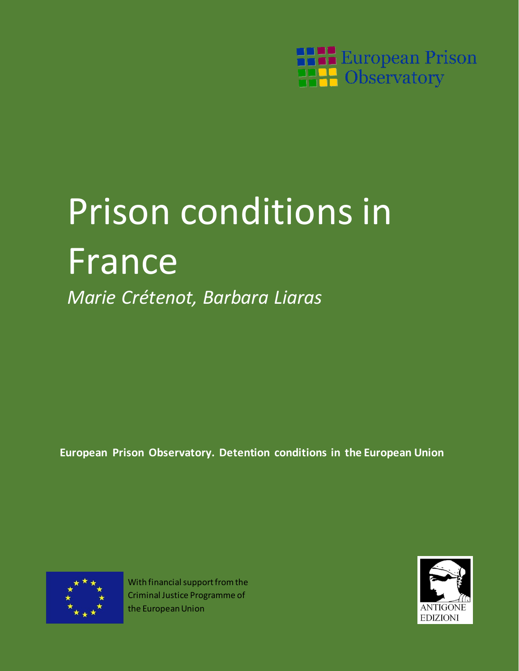

# Prison conditions in France

*Marie Crétenot, Barbara Liaras*

**European Prison Observatory. Detention conditions in the European Union**



With financial support from the Criminal Justice Programme of the European Union

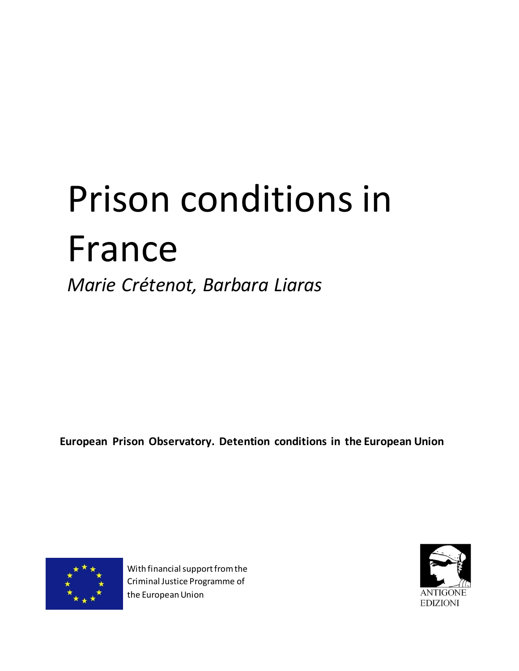# Prison conditions in France

*Marie Crétenot, Barbara Liaras*

**European Prison Observatory. Detention conditions in the European Union**



With financial support from the Criminal Justice Programme of the European Union

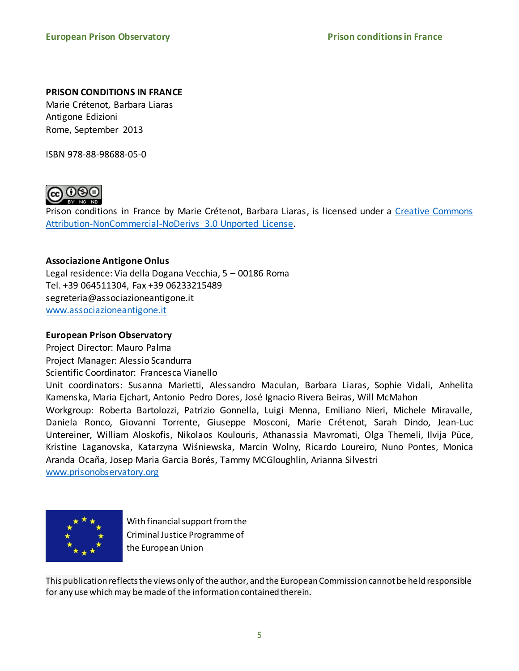#### **PRISON CONDITIONS IN FRANCE**

Marie Crétenot, Barbara Liaras Antigone Edizioni Rome, September 2013

ISBN 978-88-98688-05-0



Prison conditions in France by Marie Crétenot, Barbara Liaras, is licensed under a [Creative Commons](http://creativecommons.org/licenses/by-nc-nd/3.0/)  [Attribution-NonCommercial-NoDerivs 3.0 Unported License.](http://creativecommons.org/licenses/by-nc-nd/3.0/)

#### **Associazione Antigone Onlus**

Legal residence: Via della Dogana Vecchia, 5 – 00186 Roma Tel. +39 064511304, Fax +39 06233215489 segreteria@associazioneantigone.it [www.associazioneantigone.it](http://www.associazioneantigone.it/)

#### **European Prison Observatory**

Project Director: Mauro Palma Project Manager: Alessio Scandurra Scientific Coordinator: Francesca Vianello

Unit coordinators: Susanna Marietti, Alessandro Maculan, Barbara Liaras, Sophie Vidali, Anhelita Kamenska, Maria Ejchart, Antonio Pedro Dores, José Ignacio Rivera Beiras, Will McMahon Workgroup: Roberta Bartolozzi, Patrizio Gonnella, Luigi Menna, Emiliano Nieri, Michele Miravalle, Daniela Ronco, Giovanni Torrente, Giuseppe Mosconi, Marie Crétenot, Sarah Dindo, Jean-Luc Untereiner, William Aloskofis, Nikolaos Koulouris, Athanassia Mavromati, Olga Themeli, Ilvija Pūce, Kristine Laganovska, Katarzyna Wiśniewska, Marcin Wolny, Ricardo Loureiro, Nuno Pontes, Monica Aranda Ocaña, Josep Maria Garcia Borés, Tammy MCGloughlin, Arianna Silvestri [www.prisonobservatory.org](http://www.prisonobservatory.org/)



With financial support from the Criminal Justice Programme of the European Union

This publication reflects the views only of the author, and the European Commission cannot be held responsible for any use which may be made of the information contained therein.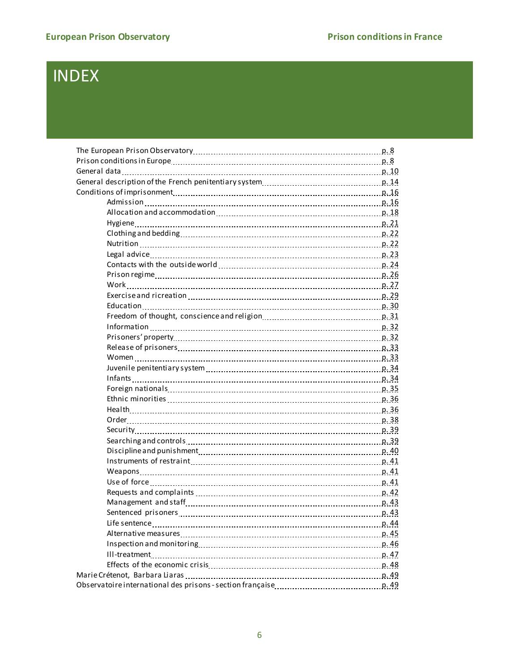# INDEX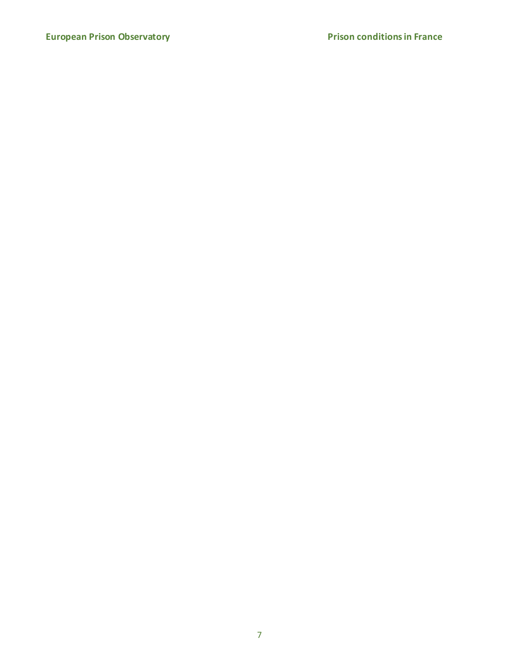7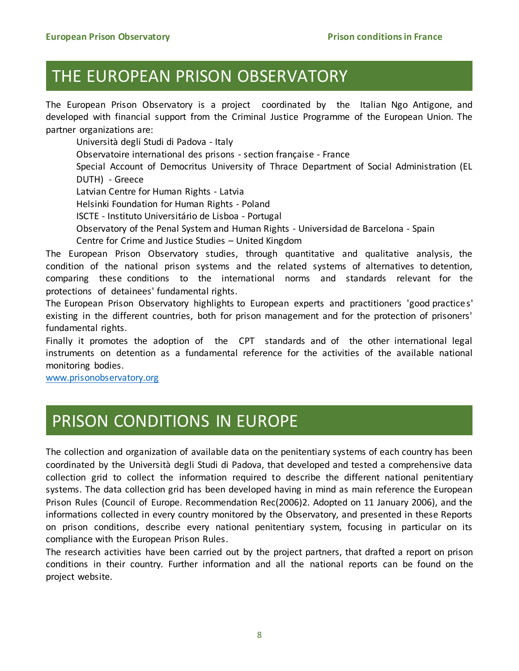# THE EUROPEAN PRISON OBSERVATORY

The European Prison Observatory is a project coordinated by the Italian Ngo Antigone, and developed with financial support from the Criminal Justice Programme of the European Union. The partner organizations are:

Università degli Studi di Padova - Italy Observatoire international des prisons - section française - France Special Account of Democritus University of Thrace Department of Social Administration (EL DUTH) - Greece Latvian Centre for Human Rights - Latvia Helsinki Foundation for Human Rights - Poland ISCTE - Instituto Universitário de Lisboa - Portugal Observatory of the Penal System and Human Rights - Universidad de Barcelona - Spain Centre for Crime and Justice Studies – United Kingdom

The European Prison Observatory studies, through quantitative and qualitative analysis, the condition of the national prison systems and the related systems of alternatives to detention, comparing these conditions to the international norms and standards relevant for the protections of detainees' fundamental rights.

The European Prison Observatory highlights to European experts and practitioners 'good practices' existing in the different countries, both for prison management and for the protection of prisoners' fundamental rights.

Finally it promotes the adoption of the CPT standards and of the other international legal instruments on detention as a fundamental reference for the activities of the available national monitoring bodies.

[www.prisonobservatory.org](http://www.prisonobservatory.org/)

# PRISON CONDITIONS IN EUROPE

The collection and organization of available data on the penitentiary systems of each country has been coordinated by the Università degli Studi di Padova, that developed and tested a comprehensive data collection grid to collect the information required to describe the different national penitentiary systems. The data collection grid has been developed having in mind as main reference the European Prison Rules (Council of Europe. Recommendation Rec(2006)2. Adopted on 11 January 2006), and the informations collected in every country monitored by the Observatory, and presented in these Reports on prison conditions, describe every national penitentiary system, focusing in particular on its compliance with the European Prison Rules.

The research activities have been carried out by the project partners, that drafted a report on prison conditions in their country. Further information and all the national reports can be found on the project website.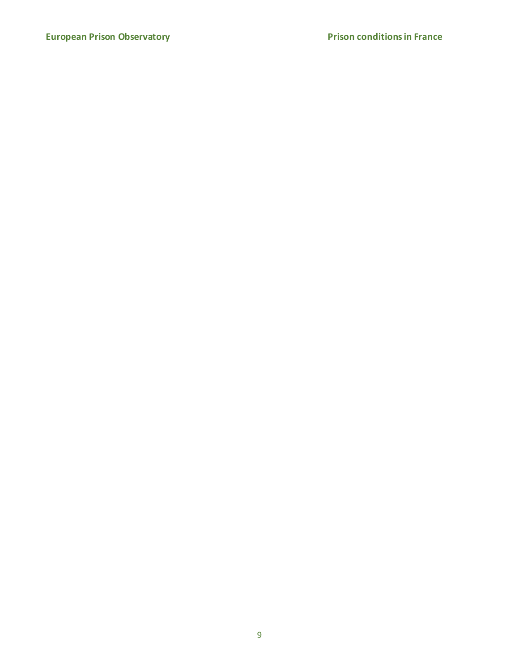9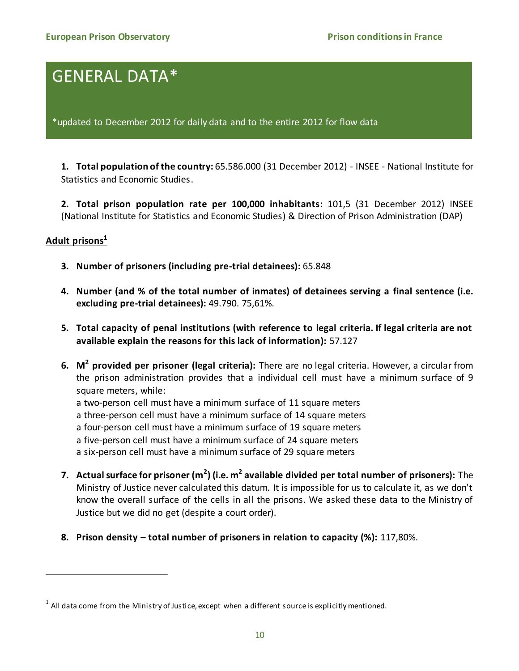# GENERAL DATA\*

\*updated to December 2012 for daily data and to the entire 2012 for flow data

**1. Total population of the country:** 65.586.000 (31 December 2012) - INSEE - National Institute for Statistics and Economic Studies.

**2. Total prison population rate per 100,000 inhabitants:** 101,5 (31 December 2012) INSEE (National Institute for Statistics and Economic Studies) & Direction of Prison Administration (DAP)

### **Adult prisons<sup>1</sup>**

 $\overline{a}$ 

- **3. Number of prisoners (including pre-trial detainees):** 65.848
- **4. Number (and % of the total number of inmates) of detainees serving a final sentence (i.e. excluding pre-trial detainees):** 49.790. 75,61%.
- **5. Total capacity of penal institutions (with reference to legal criteria. If legal criteria are not available explain the reasons for this lack of information):** 57.127
- **6. M 2 provided per prisoner (legal criteria):** There are no legal criteria. However, a circular from the prison administration provides that a individual cell must have a minimum surface of 9 square meters, while:

a two-person cell must have a minimum surface of 11 square meters

a three-person cell must have a minimum surface of 14 square meters

a four-person cell must have a minimum surface of 19 square meters

a five-person cell must have a minimum surface of 24 square meters

a six-person cell must have a minimum surface of 29 square meters

- **7. Actual surface for prisoner (m<sup>2</sup> ) (i.e. m<sup>2</sup> available divided per total number of prisoners):** The Ministry of Justice never calculated this datum. It is impossible for us to calculate it, as we don't know the overall surface of the cells in all the prisons. We asked these data to the Ministry of Justice but we did no get (despite a court order).
- **8. Prison density – total number of prisoners in relation to capacity (%):** 117,80%.

 $^1$  All data come from the Ministry of Justice, except when a different source is explicitly mentioned.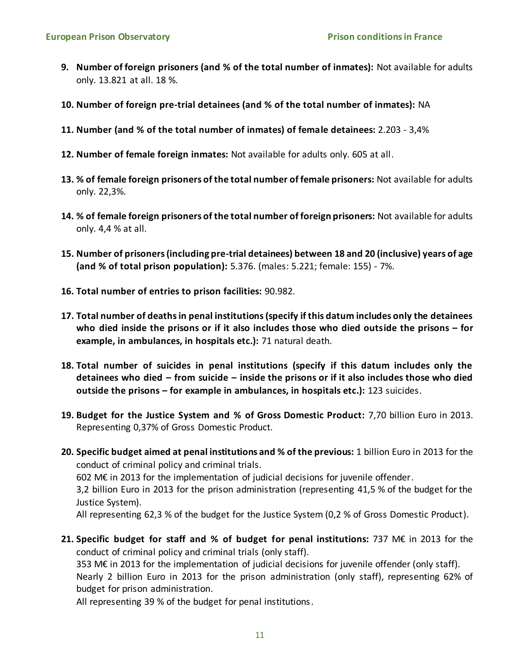- **9. Number of foreign prisoners (and % of the total number of inmates):** Not available for adults only. 13.821 at all. 18 %.
- **10. Number of foreign pre-trial detainees (and % of the total number of inmates):** NA
- **11. Number (and % of the total number of inmates) of female detainees:** 2.203 3,4%
- **12. Number of female foreign inmates:** Not available for adults only. 605 at all.
- **13. % of female foreign prisoners of the total number of female prisoners:** Not available for adults only. 22,3%.
- **14. % of female foreign prisoners of the total number of foreign prisoners:** Not available for adults only. 4,4 % at all.
- **15. Number of prisoners (including pre-trial detainees) between 18 and 20 (inclusive) years of age (and % of total prison population):** 5.376. (males: 5.221; female: 155) - 7%.
- **16. Total number of entries to prison facilities:** 90.982.
- **17. Total number of deaths in penal institutions (specify if this datum includes only the detainees who died inside the prisons or if it also includes those who died outside the prisons – for example, in ambulances, in hospitals etc.):** 71 natural death.
- **18. Total number of suicides in penal institutions (specify if this datum includes only the detainees who died – from suicide – inside the prisons or if it also includes those who died outside the prisons – for example in ambulances, in hospitals etc.):** 123 suicides.
- **19. Budget for the Justice System and % of Gross Domestic Product:** 7,70 billion Euro in 2013. Representing 0,37% of Gross Domestic Product.
- **20. Specific budget aimed at penal institutions and % of the previous:** 1 billion Euro in 2013 for the conduct of criminal policy and criminal trials.

602 M€ in 2013 for the implementation of judicial decisions for juvenile offender.

3,2 billion Euro in 2013 for the prison administration (representing 41,5 % of the budget for the Justice System).

All representing 62,3 % of the budget for the Justice System (0,2 % of Gross Domestic Product).

**21. Specific budget for staff and % of budget for penal institutions:** 737 M€ in 2013 for the conduct of criminal policy and criminal trials (only staff).

353 M€ in 2013 for the implementation of judicial decisions for juvenile offender (only staff). Nearly 2 billion Euro in 2013 for the prison administration (only staff), representing 62% of budget for prison administration.

All representing 39 % of the budget for penal institutions.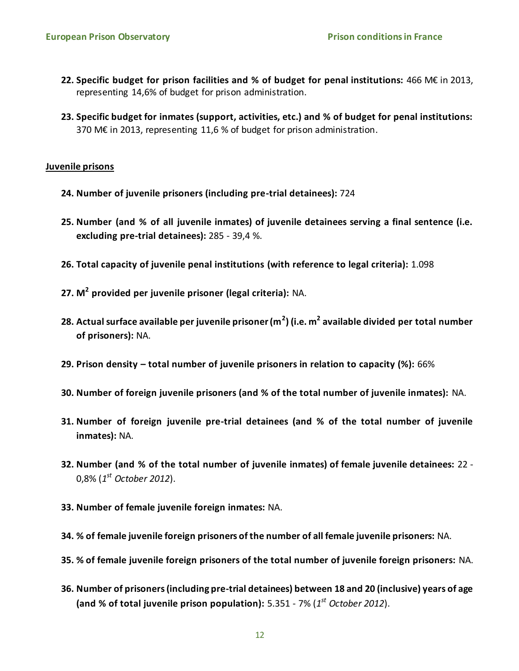- **22. Specific budget for prison facilities and % of budget for penal institutions:** 466 M€ in 2013, representing 14,6% of budget for prison administration.
- **23. Specific budget for inmates (support, activities, etc.) and % of budget for penal institutions:** 370 M€ in 2013, representing 11,6 % of budget for prison administration.

#### **Juvenile prisons**

- **24. Number of juvenile prisoners (including pre-trial detainees):** 724
- **25. Number (and % of all juvenile inmates) of juvenile detainees serving a final sentence (i.e. excluding pre-trial detainees):** 285 - 39,4 %.
- **26. Total capacity of juvenile penal institutions (with reference to legal criteria):** 1.098
- **27. M 2 provided per juvenile prisoner (legal criteria):** NA.
- **28. Actual surface available per juvenile prisoner (m<sup>2</sup> ) (i.e. m<sup>2</sup> available divided per total number of prisoners):** NA.
- **29. Prison density – total number of juvenile prisoners in relation to capacity (%):** 66%
- **30. Number of foreign juvenile prisoners (and % of the total number of juvenile inmates):** NA.
- **31. Number of foreign juvenile pre-trial detainees (and % of the total number of juvenile inmates):** NA.
- **32. Number (and % of the total number of juvenile inmates) of female juvenile detainees:** 22 0,8% (*1 st October 2012*).
- **33. Number of female juvenile foreign inmates:** NA.
- **34. % of female juvenile foreign prisoners of the number of all female juvenile prisoners:** NA.
- **35. % of female juvenile foreign prisoners of the total number of juvenile foreign prisoners:** NA.
- **36. Number of prisoners (including pre-trial detainees) between 18 and 20 (inclusive) years of age (and % of total juvenile prison population):** 5.351 - 7% (*1 st October 2012*).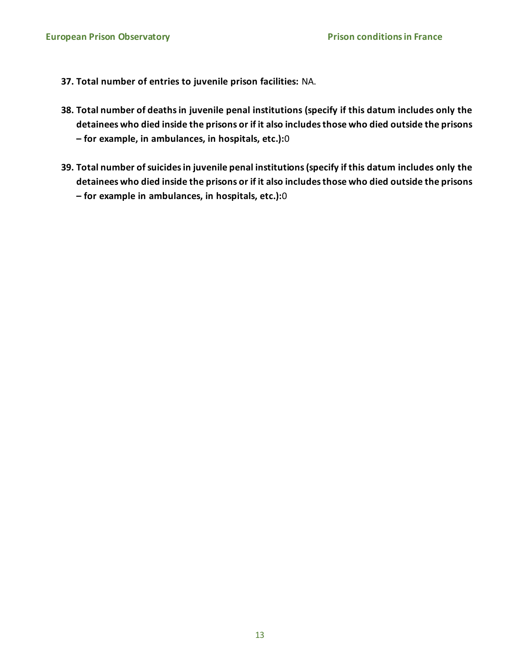- **37. Total number of entries to juvenile prison facilities:** NA.
- **38. Total number of deaths in juvenile penal institutions (specify if this datum includes only the detainees who died inside the prisons or if it also includes those who died outside the prisons – for example, in ambulances, in hospitals, etc.):**0
- **39. Total number of suicides in juvenile penal institutions (specify if this datum includes only the detainees who died inside the prisons or if it also includes those who died outside the prisons – for example in ambulances, in hospitals, etc.):**0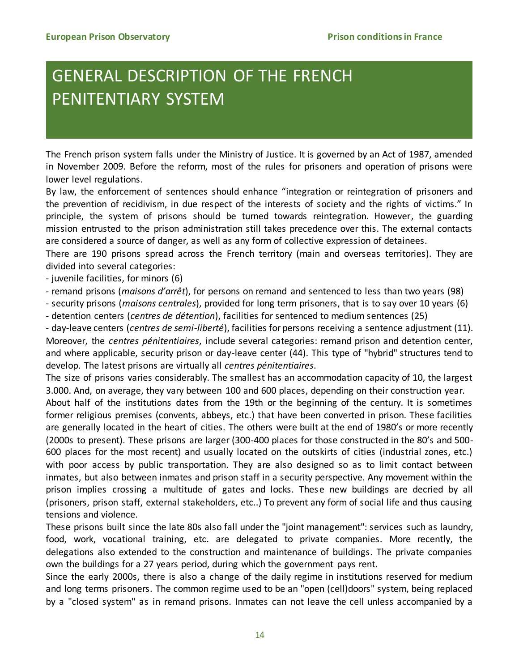# GENERAL DESCRIPTION OF THE FRENCH PENITENTIARY SYSTEM

The French prison system falls under the Ministry of Justice. It is governed by an Act of 1987, amended in November 2009. Before the reform, most of the rules for prisoners and operation of prisons were lower level regulations.

By law, the enforcement of sentences should enhance "integration or reintegration of prisoners and the prevention of recidivism, in due respect of the interests of society and the rights of victims." In principle, the system of prisons should be turned towards reintegration. However, the guarding mission entrusted to the prison administration still takes precedence over this. The external contacts are considered a source of danger, as well as any form of collective expression of detainees.

There are 190 prisons spread across the French territory (main and overseas territories). They are divided into several categories:

- juvenile facilities, for minors (6)

- remand prisons (*maisons d'arrêt*), for persons on remand and sentenced to less than two years (98)

- security prisons (*maisons centrales*), provided for long term prisoners, that is to say over 10 years (6)

- detention centers (*centres de détention*), facilities for sentenced to medium sentences (25)

- day-leave centers (*centres de semi-liberté*), facilities for persons receiving a sentence adjustment (11). Moreover, the *centres pénitentiaires*, include several categories: remand prison and detention center, and where applicable, security prison or day-leave center (44). This type of "hybrid" structures tend to develop. The latest prisons are virtually all *centres pénitentiaires*.

The size of prisons varies considerably. The smallest has an accommodation capacity of 10, the largest 3.000. And, on average, they vary between 100 and 600 places, depending on their construction year.

About half of the institutions dates from the 19th or the beginning of the century. It is sometimes former religious premises (convents, abbeys, etc.) that have been converted in prison. These facilities are generally located in the heart of cities. The others were built at the end of 1980's or more recently (2000s to present). These prisons are larger (300-400 places for those constructed in the 80's and 500- 600 places for the most recent) and usually located on the outskirts of cities (industrial zones, etc.) with poor access by public transportation. They are also designed so as to limit contact between inmates, but also between inmates and prison staff in a security perspective. Any movement within the prison implies crossing a multitude of gates and locks. These new buildings are decried by all (prisoners, prison staff, external stakeholders, etc..) To prevent any form of social life and thus causing tensions and violence.

These prisons built since the late 80s also fall under the "joint management": services such as laundry, food, work, vocational training, etc. are delegated to private companies. More recently, the delegations also extended to the construction and maintenance of buildings. The private companies own the buildings for a 27 years period, during which the government pays rent.

Since the early 2000s, there is also a change of the daily regime in institutions reserved for medium and long terms prisoners. The common regime used to be an "open (cell)doors" system, being replaced by a "closed system" as in remand prisons. Inmates can not leave the cell unless accompanied by a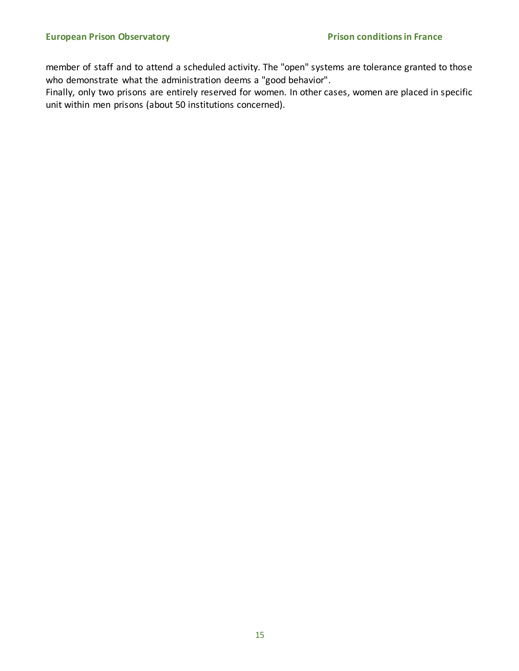member of staff and to attend a scheduled activity. The "open" systems are tolerance granted to those who demonstrate what the administration deems a "good behavior".

Finally, only two prisons are entirely reserved for women. In other cases, women are placed in specific unit within men prisons (about 50 institutions concerned).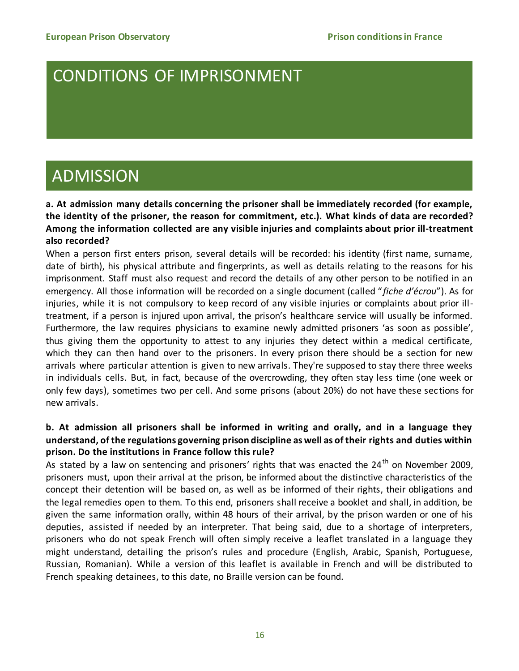# CONDITIONS OF IMPRISONMENT

# ADMISSION

**a. At admission many details concerning the prisoner shall be immediately recorded (for example, the identity of the prisoner, the reason for commitment, etc.). What kinds of data are recorded? Among the information collected are any visible injuries and complaints about prior ill-treatment also recorded?**

When a person first enters prison, several details will be recorded: his identity (first name, surname, date of birth), his physical attribute and fingerprints, as well as details relating to the reasons for his imprisonment. Staff must also request and record the details of any other person to be notified in an emergency. All those information will be recorded on a single document (called "*fiche d'écrou*"). As for injuries, while it is not compulsory to keep record of any visible injuries or complaints about prior illtreatment, if a person is injured upon arrival, the prison's healthcare service will usually be informed. Furthermore, the law requires physicians to examine newly admitted prisoners 'as soon as possible', thus giving them the opportunity to attest to any injuries they detect within a medical certificate, which they can then hand over to the prisoners. In every prison there should be a section for new arrivals where particular attention is given to new arrivals. They're supposed to stay there three weeks in individuals cells. But, in fact, because of the overcrowding, they often stay less time (one week or only few days), sometimes two per cell. And some prisons (about 20%) do not have these sections for new arrivals.

### **b. At admission all prisoners shall be informed in writing and orally, and in a language they understand, of the regulations governing prison discipline as well as of their rights and duties within prison. Do the institutions in France follow this rule?**

As stated by a law on sentencing and prisoners' rights that was enacted the  $24<sup>th</sup>$  on November 2009, prisoners must, upon their arrival at the prison, be informed about the distinctive characteristics of the concept their detention will be based on, as well as be informed of their rights, their obligations and the legal remedies open to them. To this end, prisoners shall receive a booklet and shall, in addition, be given the same information orally, within 48 hours of their arrival, by the prison warden or one of his deputies, assisted if needed by an interpreter. That being said, due to a shortage of interpreters, prisoners who do not speak French will often simply receive a leaflet translated in a language they might understand, detailing the prison's rules and procedure (English, Arabic, Spanish, Portuguese, Russian, Romanian). While a version of this leaflet is available in French and will be distributed to French speaking detainees, to this date, no Braille version can be found.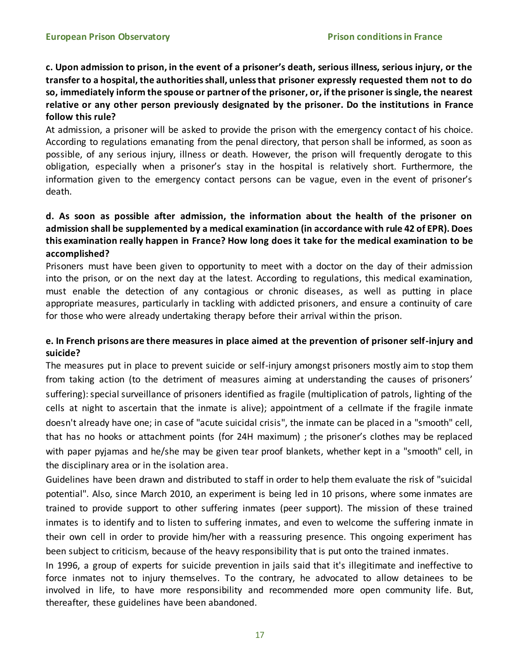**c. Upon admission to prison, in the event of a prisoner's death, serious illness, serious injury, or the transfer to a hospital, the authorities shall, unless that prisoner expressly requested them not to do so, immediately inform the spouse or partner of the prisoner, or, if the prisoner is single, the nearest relative or any other person previously designated by the prisoner. Do the institutions in France follow this rule?**

At admission, a prisoner will be asked to provide the prison with the emergency contact of his choice. According to regulations emanating from the penal directory, that person shall be informed, as soon as possible, of any serious injury, illness or death. However, the prison will frequently derogate to this obligation, especially when a prisoner's stay in the hospital is relatively short. Furthermore, the information given to the emergency contact persons can be vague, even in the event of prisoner's death.

# **d. As soon as possible after admission, the information about the health of the prisoner on admission shall be supplemented by a medical examination (in accordance with rule 42 of EPR). Does this examination really happen in France? How long does it take for the medical examination to be accomplished?**

Prisoners must have been given to opportunity to meet with a doctor on the day of their admission into the prison, or on the next day at the latest. According to regulations, this medical examination, must enable the detection of any contagious or chronic diseases, as well as putting in place appropriate measures, particularly in tackling with addicted prisoners, and ensure a continuity of care for those who were already undertaking therapy before their arrival within the prison.

### **e. In French prisons are there measures in place aimed at the prevention of prisoner self-injury and suicide?**

The measures put in place to prevent suicide or self-injury amongst prisoners mostly aim to stop them from taking action (to the detriment of measures aiming at understanding the causes of prisoners' suffering): special surveillance of prisoners identified as fragile (multiplication of patrols, lighting of the cells at night to ascertain that the inmate is alive); appointment of a cellmate if the fragile inmate doesn't already have one; in case of "acute suicidal crisis", the inmate can be placed in a "smooth" cell, that has no hooks or attachment points (for 24H maximum) ; the prisoner's clothes may be replaced with paper pyjamas and he/she may be given tear proof blankets, whether kept in a "smooth" cell, in the disciplinary area or in the isolation area.

Guidelines have been drawn and distributed to staff in order to help them evaluate the risk of "suicidal potential". Also, since March 2010, an experiment is being led in 10 prisons, where some inmates are trained to provide support to other suffering inmates (peer support). The mission of these trained inmates is to identify and to listen to suffering inmates, and even to welcome the suffering inmate in their own cell in order to provide him/her with a reassuring presence. This ongoing experiment has been subject to criticism, because of the heavy responsibility that is put onto the trained inmates.

In 1996, a group of experts for suicide prevention in jails said that it's illegitimate and ineffective to force inmates not to injury themselves. To the contrary, he advocated to allow detainees to be involved in life, to have more responsibility and recommended more open community life. But, thereafter, these guidelines have been abandoned.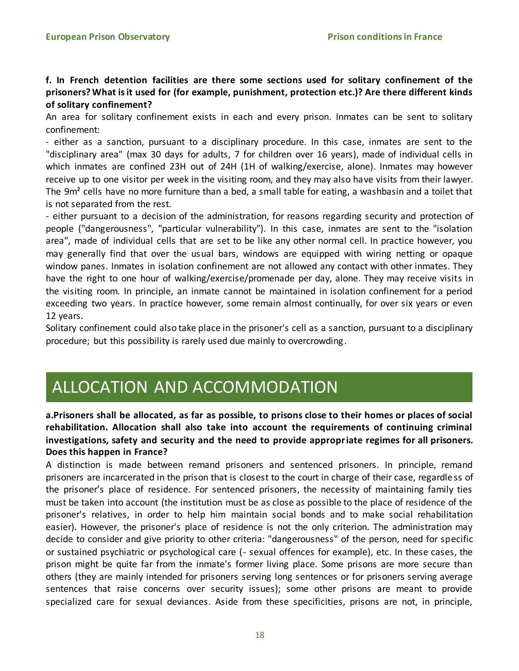### **f. In French detention facilities are there some sections used for solitary confinement of the prisoners? What is it used for (for example, punishment, protection etc.)? Are there different kinds of solitary confinement?**

An area for solitary confinement exists in each and every prison. Inmates can be sent to solitary confinement:

- either as a sanction, pursuant to a disciplinary procedure. In this case, inmates are sent to the "disciplinary area" (max 30 days for adults, 7 for children over 16 years), made of individual cells in which inmates are confined 23H out of 24H (1H of walking/exercise, alone). Inmates may however receive up to one visitor per week in the visiting room, and they may also have visits from their lawyer. The 9m² cells have no more furniture than a bed, a small table for eating, a washbasin and a toilet that is not separated from the rest.

- either pursuant to a decision of the administration, for reasons regarding security and protection of people ("dangerousness", "particular vulnerability"). In this case, inmates are sent to the "isolation area", made of individual cells that are set to be like any other normal cell. In practice however, you may generally find that over the usual bars, windows are equipped with wiring netting or opaque window panes. Inmates in isolation confinement are not allowed any contact with other inmates. They have the right to one hour of walking/exercise/promenade per day, alone. They may receive visits in the visiting room. In principle, an inmate cannot be maintained in isolation confinement for a period exceeding two years. In practice however, some remain almost continually, for over six years or even 12 years.

Solitary confinement could also take place in the prisoner's cell as a sanction, pursuant to a disciplinary procedure; but this possibility is rarely used due mainly to overcrowding.

# ALLOCATION AND ACCOMMODATION

### **a.Prisoners shall be allocated, as far as possible, to prisons close to their homes or places of social rehabilitation. Allocation shall also take into account the requirements of continuing criminal investigations, safety and security and the need to provide appropriate regimes for all prisoners. Does this happen in France?**

A distinction is made between remand prisoners and sentenced prisoners. In principle, remand prisoners are incarcerated in the prison that is closest to the court in charge of their case, regardless of the prisoner's place of residence. For sentenced prisoners, the necessity of maintaining family ties must be taken into account (the institution must be as close as possible to the place of residence of the prisoner's relatives, in order to help him maintain social bonds and to make social rehabilitation easier). However, the prisoner's place of residence is not the only criterion. The administration may decide to consider and give priority to other criteria: "dangerousness" of the person, need for specific or sustained psychiatric or psychological care (- sexual offences for example), etc. In these cases, the prison might be quite far from the inmate's former living place. Some prisons are more secure than others (they are mainly intended for prisoners serving long sentences or for prisoners serving average sentences that raise concerns over security issues); some other prisons are meant to provide specialized care for sexual deviances. Aside from these specificities, prisons are not, in principle,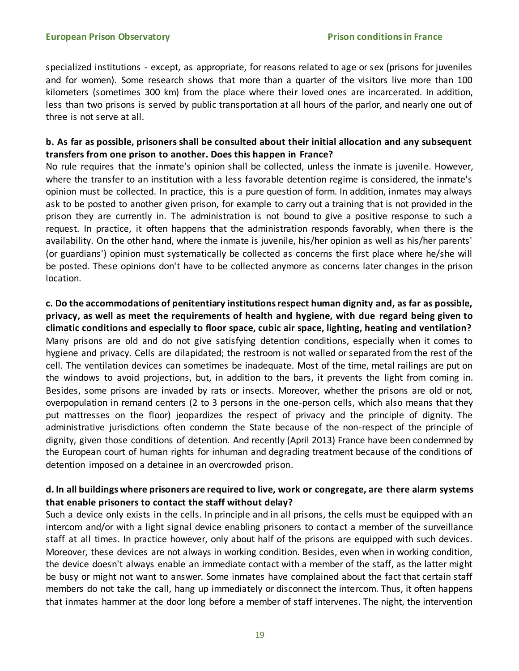specialized institutions - except, as appropriate, for reasons related to age or sex (prisons for juveniles and for women). Some research shows that more than a quarter of the visitors live more than 100 kilometers (sometimes 300 km) from the place where their loved ones are incarcerated. In addition, less than two prisons is served by public transportation at all hours of the parlor, and nearly one out of three is not serve at all.

### **b. As far as possible, prisoners shall be consulted about their initial allocation and any subsequent transfers from one prison to another. Does this happen in France?**

No rule requires that the inmate's opinion shall be collected, unless the inmate is juvenile. However, where the transfer to an institution with a less favorable detention regime is considered, the inmate's opinion must be collected. In practice, this is a pure question of form. In addition, inmates may always ask to be posted to another given prison, for example to carry out a training that is not provided in the prison they are currently in. The administration is not bound to give a positive response to such a request. In practice, it often happens that the administration responds favorably, when there is the availability. On the other hand, where the inmate is juvenile, his/her opinion as well as his/her parents' (or guardians') opinion must systematically be collected as concerns the first place where he/she will be posted. These opinions don't have to be collected anymore as concerns later changes in the prison location.

**c. Do the accommodations of penitentiary institutions respect human dignity and, as far as possible, privacy, as well as meet the requirements of health and hygiene, with due regard being given to climatic conditions and especially to floor space, cubic air space, lighting, heating and ventilation?** Many prisons are old and do not give satisfying detention conditions, especially when it comes to hygiene and privacy. Cells are dilapidated; the restroom is not walled or separated from the rest of the cell. The ventilation devices can sometimes be inadequate. Most of the time, metal railings are put on the windows to avoid projections, but, in addition to the bars, it prevents the light from coming in. Besides, some prisons are invaded by rats or insects. Moreover, whether the prisons are old or not, overpopulation in remand centers (2 to 3 persons in the one-person cells, which also means that they put mattresses on the floor) jeopardizes the respect of privacy and the principle of dignity. The administrative jurisdictions often condemn the State because of the non-respect of the principle of dignity, given those conditions of detention. And recently (April 2013) France have been condemned by the European court of human rights for inhuman and degrading treatment because of the conditions of detention imposed on a detainee in an overcrowded prison.

### **d. In all buildings where prisoners are required to live, work or congregate, are there alarm systems that enable prisoners to contact the staff without delay?**

Such a device only exists in the cells. In principle and in all prisons, the cells must be equipped with an intercom and/or with a light signal device enabling prisoners to contact a member of the surveillance staff at all times. In practice however, only about half of the prisons are equipped with such devices. Moreover, these devices are not always in working condition. Besides, even when in working condition, the device doesn't always enable an immediate contact with a member of the staff, as the latter might be busy or might not want to answer. Some inmates have complained about the fact that certain staff members do not take the call, hang up immediately or disconnect the intercom. Thus, it often happens that inmates hammer at the door long before a member of staff intervenes. The night, the intervention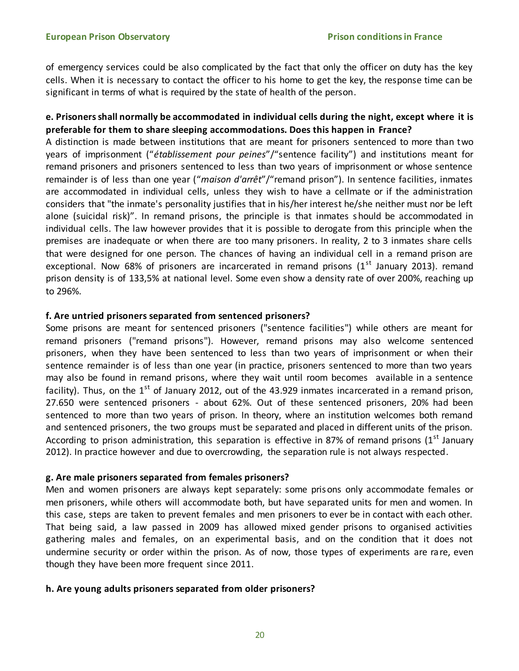of emergency services could be also complicated by the fact that only the officer on duty has the key cells. When it is necessary to contact the officer to his home to get the key, the response time can be significant in terms of what is required by the state of health of the person.

# **e. Prisoners shall normally be accommodated in individual cells during the night, except where it is preferable for them to share sleeping accommodations. Does this happen in France?**

A distinction is made between institutions that are meant for prisoners sentenced to more than two years of imprisonment ("*établissement pour peines*"/"sentence facility") and institutions meant for remand prisoners and prisoners sentenced to less than two years of imprisonment or whose sentence remainder is of less than one year ("*maison d'arrêt*"/"remand prison"). In sentence facilities, inmates are accommodated in individual cells, unless they wish to have a cellmate or if the administration considers that "the inmate's personality justifies that in his/her interest he/she neither must nor be left alone (suicidal risk)". In remand prisons, the principle is that inmates should be accommodated in individual cells. The law however provides that it is possible to derogate from this principle when the premises are inadequate or when there are too many prisoners. In reality, 2 to 3 inmates share cells that were designed for one person. The chances of having an individual cell in a remand prison are exceptional. Now 68% of prisoners are incarcerated in remand prisons  $(1<sup>st</sup>$  January 2013). remand prison density is of 133,5% at national level. Some even show a density rate of over 200%, reaching up to 296%.

### **f. Are untried prisoners separated from sentenced prisoners?**

Some prisons are meant for sentenced prisoners ("sentence facilities") while others are meant for remand prisoners ("remand prisons"). However, remand prisons may also welcome sentenced prisoners, when they have been sentenced to less than two years of imprisonment or when their sentence remainder is of less than one year (in practice, prisoners sentenced to more than two years may also be found in remand prisons, where they wait until room becomes available in a sentence facility). Thus, on the  $1<sup>st</sup>$  of January 2012, out of the 43.929 inmates incarcerated in a remand prison, 27.650 were sentenced prisoners - about 62%. Out of these sentenced prisoners, 20% had been sentenced to more than two years of prison. In theory, where an institution welcomes both remand and sentenced prisoners, the two groups must be separated and placed in different units of the prison. According to prison administration, this separation is effective in 87% of remand prisons (1<sup>st</sup> January 2012). In practice however and due to overcrowding, the separation rule is not always respected.

### **g. Are male prisoners separated from females prisoners?**

Men and women prisoners are always kept separately: some prisons only accommodate females or men prisoners, while others will accommodate both, but have separated units for men and women. In this case, steps are taken to prevent females and men prisoners to ever be in contact with each other. That being said, a law passed in 2009 has allowed mixed gender prisons to organised activities gathering males and females, on an experimental basis, and on the condition that it does not undermine security or order within the prison. As of now, those types of experiments are rare, even though they have been more frequent since 2011.

### **h. Are young adults prisoners separated from older prisoners?**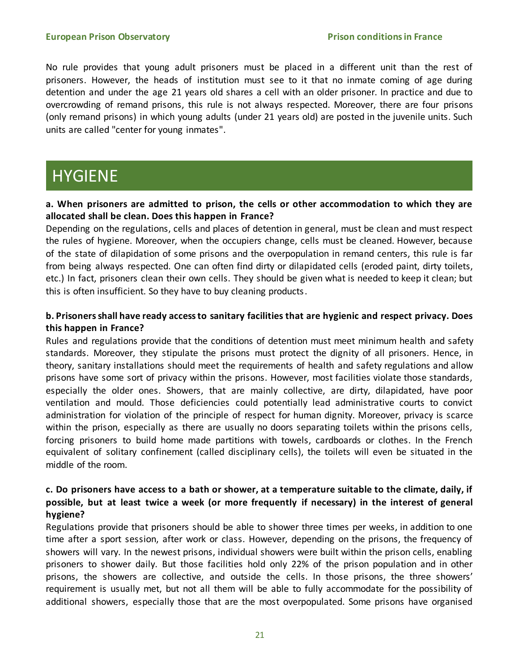#### **European Prison Observatory Prison conditions in France**

No rule provides that young adult prisoners must be placed in a different unit than the rest of prisoners. However, the heads of institution must see to it that no inmate coming of age during detention and under the age 21 years old shares a cell with an older prisoner. In practice and due to overcrowding of remand prisons, this rule is not always respected. Moreover, there are four prisons (only remand prisons) in which young adults (under 21 years old) are posted in the juvenile units. Such units are called "center for young inmates".

# **HYGIENE**

### **a. When prisoners are admitted to prison, the cells or other accommodation to which they are allocated shall be clean. Does this happen in France?**

Depending on the regulations, cells and places of detention in general, must be clean and must respect the rules of hygiene. Moreover, when the occupiers change, cells must be cleaned. However, because of the state of dilapidation of some prisons and the overpopulation in remand centers, this rule is far from being always respected. One can often find dirty or dilapidated cells (eroded paint, dirty toilets, etc.) In fact, prisoners clean their own cells. They should be given what is needed to keep it clean; but this is often insufficient. So they have to buy cleaning products.

### **b. Prisoners shall have ready access to sanitary facilities that are hygienic and respect privacy. Does this happen in France?**

Rules and regulations provide that the conditions of detention must meet minimum health and safety standards. Moreover, they stipulate the prisons must protect the dignity of all prisoners. Hence, in theory, sanitary installations should meet the requirements of health and safety regulations and allow prisons have some sort of privacy within the prisons. However, most facilities violate those standards, especially the older ones. Showers, that are mainly collective, are dirty, dilapidated, have poor ventilation and mould. Those deficiencies could potentially lead administrative courts to convict administration for violation of the principle of respect for human dignity. Moreover, privacy is scarce within the prison, especially as there are usually no doors separating toilets within the prisons cells, forcing prisoners to build home made partitions with towels, cardboards or clothes. In the French equivalent of solitary confinement (called disciplinary cells), the toilets will even be situated in the middle of the room.

### **c. Do prisoners have access to a bath or shower, at a temperature suitable to the climate, daily, if possible, but at least twice a week (or more frequently if necessary) in the interest of general hygiene?**

Regulations provide that prisoners should be able to shower three times per weeks, in addition to one time after a sport session, after work or class. However, depending on the prisons, the frequency of showers will vary. In the newest prisons, individual showers were built within the prison cells, enabling prisoners to shower daily. But those facilities hold only 22% of the prison population and in other prisons, the showers are collective, and outside the cells. In those prisons, the three showers' requirement is usually met, but not all them will be able to fully accommodate for the possibility of additional showers, especially those that are the most overpopulated. Some prisons have organised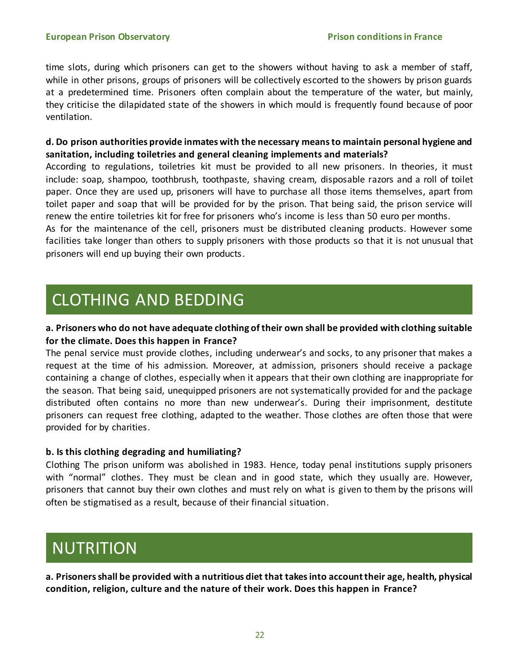time slots, during which prisoners can get to the showers without having to ask a member of staff, while in other prisons, groups of prisoners will be collectively escorted to the showers by prison guards at a predetermined time. Prisoners often complain about the temperature of the water, but mainly, they criticise the dilapidated state of the showers in which mould is frequently found because of poor ventilation.

### **d. Do prison authorities provide inmates with the necessary means to maintain personal hygiene and sanitation, including toiletries and general cleaning implements and materials?**

According to regulations, toiletries kit must be provided to all new prisoners. In theories, it must include: soap, shampoo, toothbrush, toothpaste, shaving cream, disposable razors and a roll of toilet paper. Once they are used up, prisoners will have to purchase all those items themselves, apart from toilet paper and soap that will be provided for by the prison. That being said, the prison service will renew the entire toiletries kit for free for prisoners who's income is less than 50 euro per months.

As for the maintenance of the cell, prisoners must be distributed cleaning products. However some facilities take longer than others to supply prisoners with those products so that it is not unusual that prisoners will end up buying their own products.

# CLOTHING AND BEDDING

# **a. Prisoners who do not have adequate clothing of their own shall be provided with clothing suitable for the climate. Does this happen in France?**

The penal service must provide clothes, including underwear's and socks, to any prisoner that makes a request at the time of his admission. Moreover, at admission, prisoners should receive a package containing a change of clothes, especially when it appears that their own clothing are inappropriate for the season. That being said, unequipped prisoners are not systematically provided for and the package distributed often contains no more than new underwear's. During their imprisonment, destitute prisoners can request free clothing, adapted to the weather. Those clothes are often those that were provided for by charities.

### **b. Is this clothing degrading and humiliating?**

Clothing The prison uniform was abolished in 1983. Hence, today penal institutions supply prisoners with "normal" clothes. They must be clean and in good state, which they usually are. However, prisoners that cannot buy their own clothes and must rely on what is given to them by the prisons will often be stigmatised as a result, because of their financial situation.

# **NUTRITION**

**a. Prisoners shall be provided with a nutritious diet that takes into account their age, health, physical condition, religion, culture and the nature of their work. Does this happen in France?**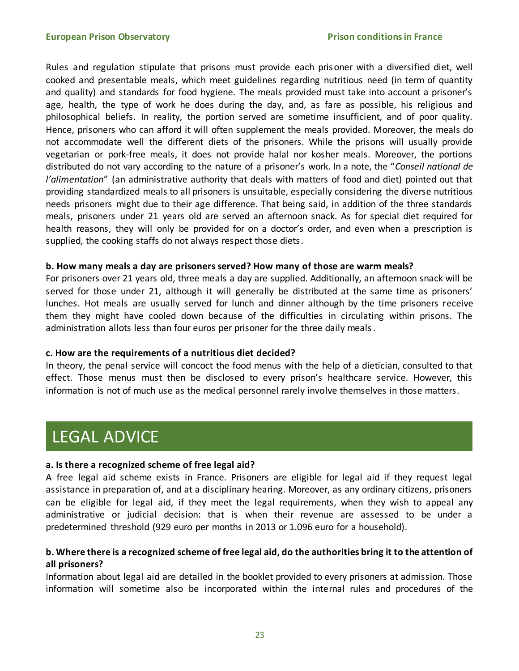Rules and regulation stipulate that prisons must provide each prisoner with a diversified diet, well cooked and presentable meals, which meet guidelines regarding nutritious need (in term of quantity and quality) and standards for food hygiene. The meals provided must take into account a prisoner's age, health, the type of work he does during the day, and, as fare as possible, his religious and philosophical beliefs. In reality, the portion served are sometime insufficient, and of poor quality. Hence, prisoners who can afford it will often supplement the meals provided. Moreover, the meals do not accommodate well the different diets of the prisoners. While the prisons will usually provide vegetarian or pork-free meals, it does not provide halal nor kosher meals. Moreover, the portions distributed do not vary according to the nature of a prisoner's work. In a note, the "*Conseil national de l'alimentation*" (an administrative authority that deals with matters of food and diet) pointed out that providing standardized meals to all prisoners is unsuitable, especially considering the diverse nutritious needs prisoners might due to their age difference. That being said, in addition of the three standards meals, prisoners under 21 years old are served an afternoon snack. As for special diet required for health reasons, they will only be provided for on a doctor's order, and even when a prescription is supplied, the cooking staffs do not always respect those diets.

#### **b. How many meals a day are prisoners served? How many of those are warm meals?**

For prisoners over 21 years old, three meals a day are supplied. Additionally, an afternoon snack will be served for those under 21, although it will generally be distributed at the same time as prisoners' lunches. Hot meals are usually served for lunch and dinner although by the time prisoners receive them they might have cooled down because of the difficulties in circulating within prisons. The administration allots less than four euros per prisoner for the three daily meals.

#### **c. How are the requirements of a nutritious diet decided?**

In theory, the penal service will concoct the food menus with the help of a dietician, consulted to that effect. Those menus must then be disclosed to every prison's healthcare service. However, this information is not of much use as the medical personnel rarely involve themselves in those matters.

# LEGAL ADVICE

#### **a. Is there a recognized scheme of free legal aid?**

A free legal aid scheme exists in France. Prisoners are eligible for legal aid if they request legal assistance in preparation of, and at a disciplinary hearing. Moreover, as any ordinary citizens, prisoners can be eligible for legal aid, if they meet the legal requirements, when they wish to appeal any administrative or judicial decision: that is when their revenue are assessed to be under a predetermined threshold (929 euro per months in 2013 or 1.096 euro for a household).

### **b. Where there is a recognized scheme of free legal aid, do the authorities bring it to the attention of all prisoners?**

Information about legal aid are detailed in the booklet provided to every prisoners at admission. Those information will sometime also be incorporated within the internal rules and procedures of the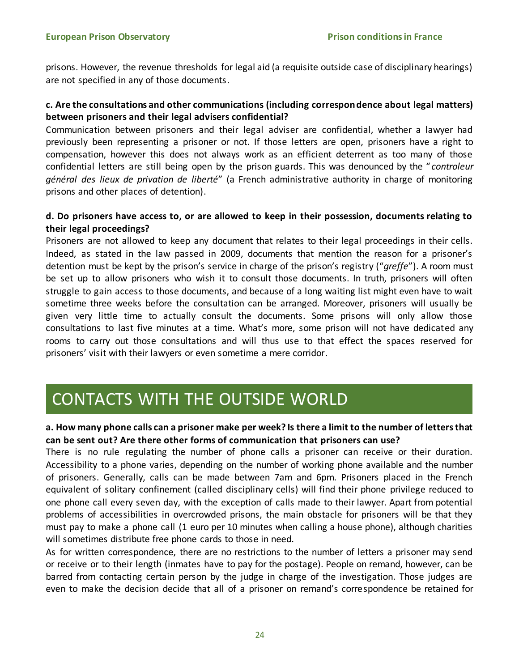prisons. However, the revenue thresholds for legal aid (a requisite outside case of disciplinary hearings) are not specified in any of those documents.

### **c. Are the consultations and other communications (including correspondence about legal matters) between prisoners and their legal advisers confidential?**

Communication between prisoners and their legal adviser are confidential, whether a lawyer had previously been representing a prisoner or not. If those letters are open, prisoners have a right to compensation, however this does not always work as an efficient deterrent as too many of those confidential letters are still being open by the prison guards. This was denounced by the " *controleur général des lieux de privation de liberté*" (a French administrative authority in charge of monitoring prisons and other places of detention).

### **d. Do prisoners have access to, or are allowed to keep in their possession, documents relating to their legal proceedings?**

Prisoners are not allowed to keep any document that relates to their legal proceedings in their cells. Indeed, as stated in the law passed in 2009, documents that mention the reason for a prisoner's detention must be kept by the prison's service in charge of the prison's registry ("*greffe*"). A room must be set up to allow prisoners who wish it to consult those documents. In truth, prisoners will often struggle to gain access to those documents, and because of a long waiting list might even have to wait sometime three weeks before the consultation can be arranged. Moreover, prisoners will usually be given very little time to actually consult the documents. Some prisons will only allow those consultations to last five minutes at a time. What's more, some prison will not have dedicated any rooms to carry out those consultations and will thus use to that effect the spaces reserved for prisoners' visit with their lawyers or even sometime a mere corridor.

# CONTACTS WITH THE OUTSIDE WORLD

### **a. How many phone calls can a prisoner make per week? Is there a limit to the number of letters that can be sent out? Are there other forms of communication that prisoners can use?**

There is no rule regulating the number of phone calls a prisoner can receive or their duration. Accessibility to a phone varies, depending on the number of working phone available and the number of prisoners. Generally, calls can be made between 7am and 6pm. Prisoners placed in the French equivalent of solitary confinement (called disciplinary cells) will find their phone privilege reduced to one phone call every seven day, with the exception of calls made to their lawyer. Apart from potential problems of accessibilities in overcrowded prisons, the main obstacle for prisoners will be that they must pay to make a phone call (1 euro per 10 minutes when calling a house phone), although charities will sometimes distribute free phone cards to those in need.

As for written correspondence, there are no restrictions to the number of letters a prisoner may send or receive or to their length (inmates have to pay for the postage). People on remand, however, can be barred from contacting certain person by the judge in charge of the investigation. Those judges are even to make the decision decide that all of a prisoner on remand's correspondence be retained for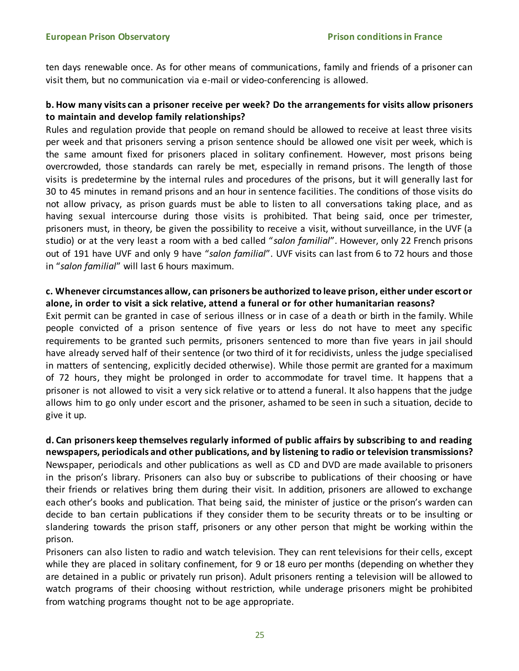ten days renewable once. As for other means of communications, family and friends of a prisoner can visit them, but no communication via e-mail or video-conferencing is allowed.

### **b. How many visits can a prisoner receive per week? Do the arrangements for visits allow prisoners to maintain and develop family relationships?**

Rules and regulation provide that people on remand should be allowed to receive at least three visits per week and that prisoners serving a prison sentence should be allowed one visit per week, which is the same amount fixed for prisoners placed in solitary confinement. However, most prisons being overcrowded, those standards can rarely be met, especially in remand prisons. The length of those visits is predetermine by the internal rules and procedures of the prisons, but it will generally last for 30 to 45 minutes in remand prisons and an hour in sentence facilities. The conditions of those visits do not allow privacy, as prison guards must be able to listen to all conversations taking place, and as having sexual intercourse during those visits is prohibited. That being said, once per trimester, prisoners must, in theory, be given the possibility to receive a visit, without surveillance, in the UVF (a studio) or at the very least a room with a bed called "*salon familial*". However, only 22 French prisons out of 191 have UVF and only 9 have "*salon familial*". UVF visits can last from 6 to 72 hours and those in "*salon familial*" will last 6 hours maximum.

#### **c. Whenever circumstances allow, can prisoners be authorized to leave prison, either under escort or alone, in order to visit a sick relative, attend a funeral or for other humanitarian reasons?**

Exit permit can be granted in case of serious illness or in case of a death or birth in the family. While people convicted of a prison sentence of five years or less do not have to meet any specific requirements to be granted such permits, prisoners sentenced to more than five years in jail should have already served half of their sentence (or two third of it for recidivists, unless the judge specialised in matters of sentencing, explicitly decided otherwise). While those permit are granted for a maximum of 72 hours, they might be prolonged in order to accommodate for travel time. It happens that a prisoner is not allowed to visit a very sick relative or to attend a funeral. It also happens that the judge allows him to go only under escort and the prisoner, ashamed to be seen in such a situation, decide to give it up.

**d. Can prisoners keep themselves regularly informed of public affairs by subscribing to and reading newspapers, periodicals and other publications, and by listening to radio or television transmissions?** Newspaper, periodicals and other publications as well as CD and DVD are made available to prisoners in the prison's library. Prisoners can also buy or subscribe to publications of their choosing or have their friends or relatives bring them during their visit. In addition, prisoners are allowed to exchange each other's books and publication. That being said, the minister of justice or the prison's warden can decide to ban certain publications if they consider them to be security threats or to be insulting or slandering towards the prison staff, prisoners or any other person that might be working within the prison.

Prisoners can also listen to radio and watch television. They can rent televisions for their cells, except while they are placed in solitary confinement, for 9 or 18 euro per months (depending on whether they are detained in a public or privately run prison). Adult prisoners renting a television will be allowed to watch programs of their choosing without restriction, while underage prisoners might be prohibited from watching programs thought not to be age appropriate.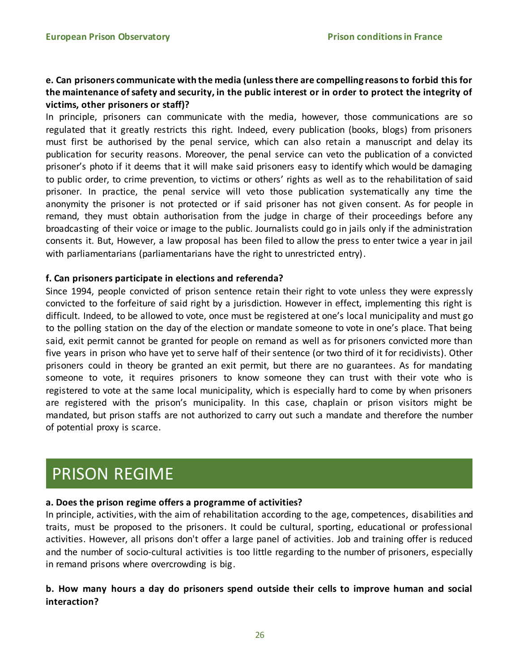### **e. Can prisoners communicate with the media (unless there are compelling reasons to forbid this for the maintenance of safety and security, in the public interest or in order to protect the integrity of victims, other prisoners or staff)?**

In principle, prisoners can communicate with the media, however, those communications are so regulated that it greatly restricts this right. Indeed, every publication (books, blogs) from prisoners must first be authorised by the penal service, which can also retain a manuscript and delay its publication for security reasons. Moreover, the penal service can veto the publication of a convicted prisoner's photo if it deems that it will make said prisoners easy to identify which would be damaging to public order, to crime prevention, to victims or others' rights as well as to the rehabilitation of said prisoner. In practice, the penal service will veto those publication systematically any time the anonymity the prisoner is not protected or if said prisoner has not given consent. As for people in remand, they must obtain authorisation from the judge in charge of their proceedings before any broadcasting of their voice or image to the public. Journalists could go in jails only if the administration consents it. But, However, a law proposal has been filed to allow the press to enter twice a year in jail with parliamentarians (parliamentarians have the right to unrestricted entry).

#### **f. Can prisoners participate in elections and referenda?**

Since 1994, people convicted of prison sentence retain their right to vote unless they were expressly convicted to the forfeiture of said right by a jurisdiction. However in effect, implementing this right is difficult. Indeed, to be allowed to vote, once must be registered at one's local municipality and must go to the polling station on the day of the election or mandate someone to vote in one's place. That being said, exit permit cannot be granted for people on remand as well as for prisoners convicted more than five years in prison who have yet to serve half of their sentence (or two third of it for recidivists). Other prisoners could in theory be granted an exit permit, but there are no guarantees. As for mandating someone to vote, it requires prisoners to know someone they can trust with their vote who is registered to vote at the same local municipality, which is especially hard to come by when prisoners are registered with the prison's municipality. In this case, chaplain or prison visitors might be mandated, but prison staffs are not authorized to carry out such a mandate and therefore the number of potential proxy is scarce.

# PRISON REGIME

#### **a. Does the prison regime offers a programme of activities?**

In principle, activities, with the aim of rehabilitation according to the age, competences, disabilities and traits, must be proposed to the prisoners. It could be cultural, sporting, educational or professional activities. However, all prisons don't offer a large panel of activities. Job and training offer is reduced and the number of socio-cultural activities is too little regarding to the number of prisoners, especially in remand prisons where overcrowding is big.

### **b. How many hours a day do prisoners spend outside their cells to improve human and social interaction?**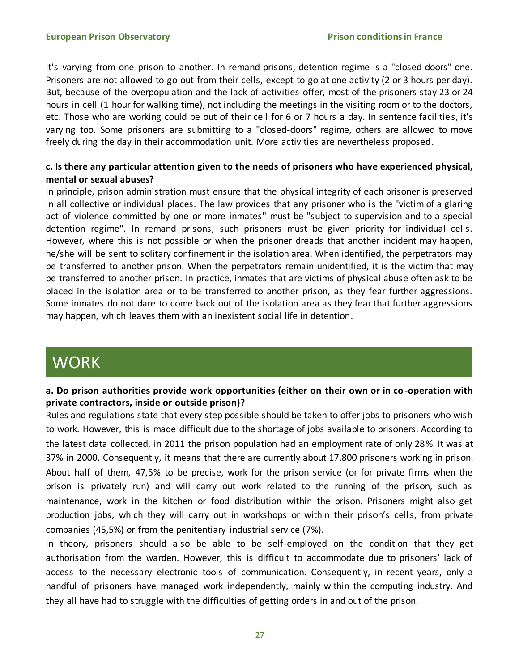It's varying from one prison to another. In remand prisons, detention regime is a "closed doors" one. Prisoners are not allowed to go out from their cells, except to go at one activity (2 or 3 hours per day). But, because of the overpopulation and the lack of activities offer, most of the prisoners stay 23 or 24 hours in cell (1 hour for walking time), not including the meetings in the visiting room or to the doctors, etc. Those who are working could be out of their cell for 6 or 7 hours a day. In sentence facilities, it's varying too. Some prisoners are submitting to a "closed-doors" regime, others are allowed to move freely during the day in their accommodation unit. More activities are nevertheless proposed.

# **c. Is there any particular attention given to the needs of prisoners who have experienced physical, mental or sexual abuses?**

In principle, prison administration must ensure that the physical integrity of each prisoner is preserved in all collective or individual places. The law provides that any prisoner who is the "victim of a glaring act of violence committed by one or more inmates" must be "subject to supervision and to a special detention regime". In remand prisons, such prisoners must be given priority for individual cells. However, where this is not possible or when the prisoner dreads that another incident may happen, he/she will be sent to solitary confinement in the isolation area. When identified, the perpetrators may be transferred to another prison. When the perpetrators remain unidentified, it is the victim that may be transferred to another prison. In practice, inmates that are victims of physical abuse often ask to be placed in the isolation area or to be transferred to another prison, as they fear further aggressions. Some inmates do not dare to come back out of the isolation area as they fear that further aggressions may happen, which leaves them with an inexistent social life in detention.

# **WORK**

### **a. Do prison authorities provide work opportunities (either on their own or in co-operation with private contractors, inside or outside prison)?**

Rules and regulations state that every step possible should be taken to offer jobs to prisoners who wish to work. However, this is made difficult due to the shortage of jobs available to prisoners. According to the latest data collected, in 2011 the prison population had an employment rate of only 28%. It was at 37% in 2000. Consequently, it means that there are currently about 17.800 prisoners working in prison. About half of them, 47,5% to be precise, work for the prison service (or for private firms when the prison is privately run) and will carry out work related to the running of the prison, such as maintenance, work in the kitchen or food distribution within the prison. Prisoners might also get production jobs, which they will carry out in workshops or within their prison's cells, from private companies (45,5%) or from the penitentiary industrial service (7%).

In theory, prisoners should also be able to be self-employed on the condition that they get authorisation from the warden. However, this is difficult to accommodate due to prisoners' lack of access to the necessary electronic tools of communication. Consequently, in recent years, only a handful of prisoners have managed work independently, mainly within the computing industry. And they all have had to struggle with the difficulties of getting orders in and out of the prison.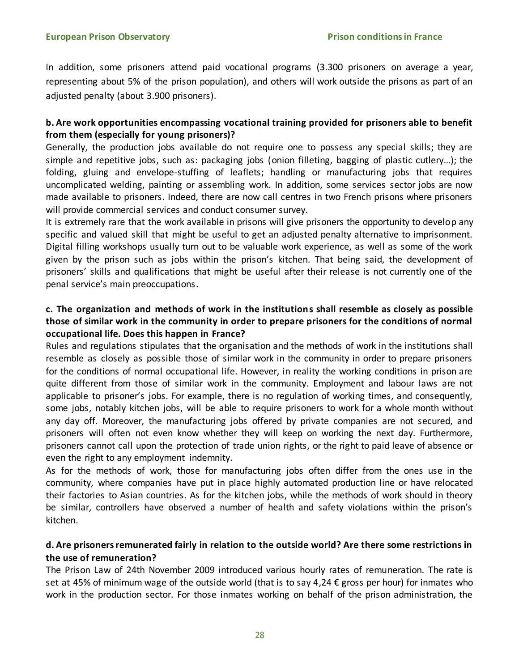In addition, some prisoners attend paid vocational programs (3.300 prisoners on average a year, representing about 5% of the prison population), and others will work outside the prisons as part of an adjusted penalty (about 3.900 prisoners).

### **b. Are work opportunities encompassing vocational training provided for prisoners able to benefit from them (especially for young prisoners)?**

Generally, the production jobs available do not require one to possess any special skills; they are simple and repetitive jobs, such as: packaging jobs (onion filleting, bagging of plastic cutlery…); the folding, gluing and envelope-stuffing of leaflets; handling or manufacturing jobs that requires uncomplicated welding, painting or assembling work. In addition, some services sector jobs are now made available to prisoners. Indeed, there are now call centres in two French prisons where prisoners will provide commercial services and conduct consumer survey.

It is extremely rare that the work available in prisons will give prisoners the opportunity to develop any specific and valued skill that might be useful to get an adjusted penalty alternative to imprisonment. Digital filling workshops usually turn out to be valuable work experience, as well as some of the work given by the prison such as jobs within the prison's kitchen. That being said, the development of prisoners' skills and qualifications that might be useful after their release is not currently one of the penal service's main preoccupations.

# **c. The organization and methods of work in the institutions shall resemble as closely as possible those of similar work in the community in order to prepare prisoners for the conditions of normal occupational life. Does this happen in France?**

Rules and regulations stipulates that the organisation and the methods of work in the institutions shall resemble as closely as possible those of similar work in the community in order to prepare prisoners for the conditions of normal occupational life. However, in reality the working conditions in prison are quite different from those of similar work in the community. Employment and labour laws are not applicable to prisoner's jobs. For example, there is no regulation of working times, and consequently, some jobs, notably kitchen jobs, will be able to require prisoners to work for a whole month without any day off. Moreover, the manufacturing jobs offered by private companies are not secured, and prisoners will often not even know whether they will keep on working the next day. Furthermore, prisoners cannot call upon the protection of trade union rights, or the right to paid leave of absence or even the right to any employment indemnity.

As for the methods of work, those for manufacturing jobs often differ from the ones use in the community, where companies have put in place highly automated production line or have relocated their factories to Asian countries. As for the kitchen jobs, while the methods of work should in theory be similar, controllers have observed a number of health and safety violations within the prison's kitchen.

# **d. Are prisoners remunerated fairly in relation to the outside world? Are there some restrictions in the use of remuneration?**

The Prison Law of 24th November 2009 introduced various hourly rates of remuneration. The rate is set at 45% of minimum wage of the outside world (that is to say 4,24 € gross per hour) for inmates who work in the production sector. For those inmates working on behalf of the prison administration, the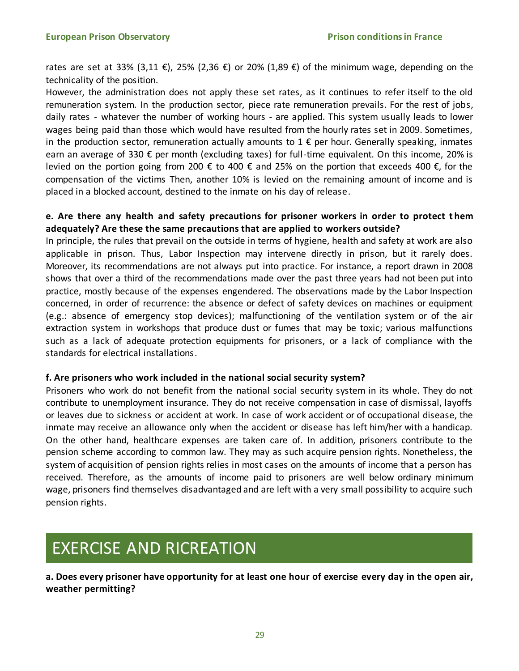rates are set at 33% (3,11 €), 25% (2,36 €) or 20% (1,89 €) of the minimum wage, depending on the technicality of the position.

However, the administration does not apply these set rates, as it continues to refer itself to the old remuneration system. In the production sector, piece rate remuneration prevails. For the rest of jobs, daily rates - whatever the number of working hours - are applied. This system usually leads to lower wages being paid than those which would have resulted from the hourly rates set in 2009. Sometimes, in the production sector, remuneration actually amounts to  $1 \in \mathfrak{p}$  per hour. Generally speaking, inmates earn an average of 330  $\epsilon$  per month (excluding taxes) for full-time equivalent. On this income, 20% is levied on the portion going from 200 € to 400 € and 25% on the portion that exceeds 400 €, for the compensation of the victims Then, another 10% is levied on the remaining amount of income and is placed in a blocked account, destined to the inmate on his day of release.

### **e. Are there any health and safety precautions for prisoner workers in order to protect t hem adequately? Are these the same precautions that are applied to workers outside?**

In principle, the rules that prevail on the outside in terms of hygiene, health and safety at work are also applicable in prison. Thus, Labor Inspection may intervene directly in prison, but it rarely does. Moreover, its recommendations are not always put into practice. For instance, a report drawn in 2008 shows that over a third of the recommendations made over the past three years had not been put into practice, mostly because of the expenses engendered. The observations made by the Labor Inspection concerned, in order of recurrence: the absence or defect of safety devices on machines or equipment (e.g.: absence of emergency stop devices); malfunctioning of the ventilation system or of the air extraction system in workshops that produce dust or fumes that may be toxic; various malfunctions such as a lack of adequate protection equipments for prisoners, or a lack of compliance with the standards for electrical installations.

#### **f. Are prisoners who work included in the national social security system?**

Prisoners who work do not benefit from the national social security system in its whole. They do not contribute to unemployment insurance. They do not receive compensation in case of dismissal, layoffs or leaves due to sickness or accident at work. In case of work accident or of occupational disease, the inmate may receive an allowance only when the accident or disease has left him/her with a handicap. On the other hand, healthcare expenses are taken care of. In addition, prisoners contribute to the pension scheme according to common law. They may as such acquire pension rights. Nonetheless, the system of acquisition of pension rights relies in most cases on the amounts of income that a person has received. Therefore, as the amounts of income paid to prisoners are well below ordinary minimum wage, prisoners find themselves disadvantaged and are left with a very small possibility to acquire such pension rights.

# EXERCISE AND RICREATION

**a. Does every prisoner have opportunity for at least one hour of exercise every day in the open air, weather permitting?**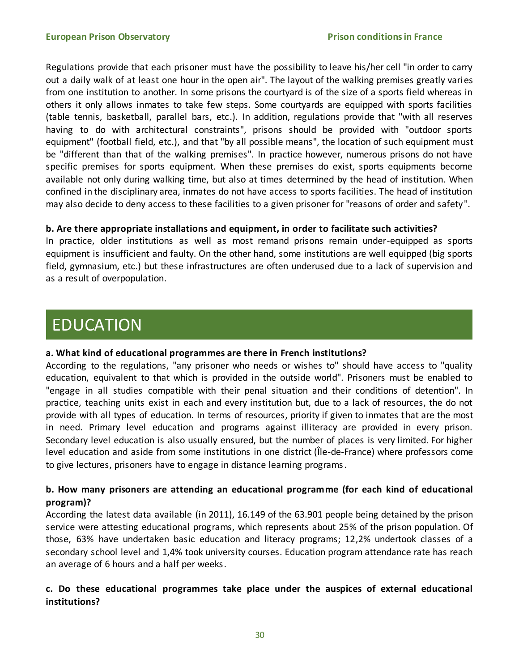Regulations provide that each prisoner must have the possibility to leave his/her cell "in order to carry out a daily walk of at least one hour in the open air". The layout of the walking premises greatly varies from one institution to another. In some prisons the courtyard is of the size of a sports field whereas in others it only allows inmates to take few steps. Some courtyards are equipped with sports facilities (table tennis, basketball, parallel bars, etc.). In addition, regulations provide that "with all reserves having to do with architectural constraints", prisons should be provided with "outdoor sports equipment" (football field, etc.), and that "by all possible means", the location of such equipment must be "different than that of the walking premises". In practice however, numerous prisons do not have specific premises for sports equipment. When these premises do exist, sports equipments become available not only during walking time, but also at times determined by the head of institution. When confined in the disciplinary area, inmates do not have access to sports facilities. The head of institution may also decide to deny access to these facilities to a given prisoner for "reasons of order and safety".

### **b. Are there appropriate installations and equipment, in order to facilitate such activities?**

In practice, older institutions as well as most remand prisons remain under-equipped as sports equipment is insufficient and faulty. On the other hand, some institutions are well equipped (big sports field, gymnasium, etc.) but these infrastructures are often underused due to a lack of supervision and as a result of overpopulation.

# EDUCATION

### **a. What kind of educational programmes are there in French institutions?**

According to the regulations, "any prisoner who needs or wishes to" should have access to "quality education, equivalent to that which is provided in the outside world". Prisoners must be enabled to "engage in all studies compatible with their penal situation and their conditions of detention". In practice, teaching units exist in each and every institution but, due to a lack of resources, the do not provide with all types of education. In terms of resources, priority if given to inmates that are the most in need. Primary level education and programs against illiteracy are provided in every prison. Secondary level education is also usually ensured, but the number of places is very limited. For higher level education and aside from some institutions in one district (Île-de-France) where professors come to give lectures, prisoners have to engage in distance learning programs.

# **b. How many prisoners are attending an educational programme (for each kind of educational program)?**

According the latest data available (in 2011), 16.149 of the 63.901 people being detained by the prison service were attesting educational programs, which represents about 25% of the prison population. Of those, 63% have undertaken basic education and literacy programs; 12,2% undertook classes of a secondary school level and 1,4% took university courses. Education program attendance rate has reach an average of 6 hours and a half per weeks.

# **c. Do these educational programmes take place under the auspices of external educational institutions?**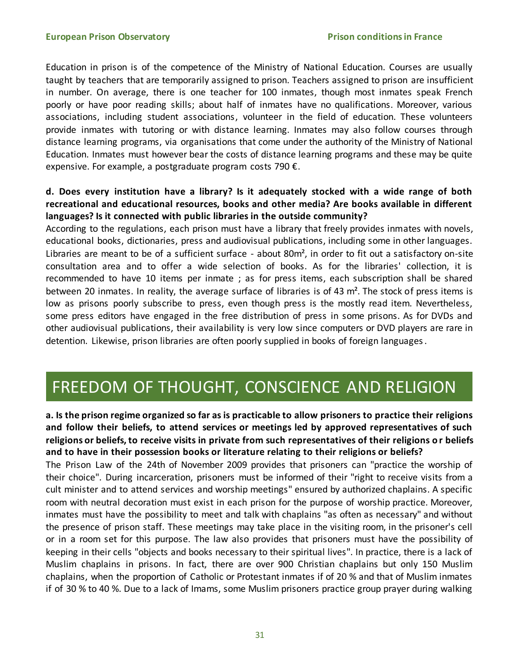Education in prison is of the competence of the Ministry of National Education. Courses are usually taught by teachers that are temporarily assigned to prison. Teachers assigned to prison are insufficient in number. On average, there is one teacher for 100 inmates, though most inmates speak French poorly or have poor reading skills; about half of inmates have no qualifications. Moreover, various associations, including student associations, volunteer in the field of education. These volunteers provide inmates with tutoring or with distance learning. Inmates may also follow courses through distance learning programs, via organisations that come under the authority of the Ministry of National Education. Inmates must however bear the costs of distance learning programs and these may be quite expensive. For example, a postgraduate program costs 790 €.

### **d. Does every institution have a library? Is it adequately stocked with a wide range of both recreational and educational resources, books and other media? Are books available in different languages? Is it connected with public libraries in the outside community?**

According to the regulations, each prison must have a library that freely provides inmates with novels, educational books, dictionaries, press and audiovisual publications, including some in other languages. Libraries are meant to be of a sufficient surface - about 80m<sup>2</sup>, in order to fit out a satisfactory on-site consultation area and to offer a wide selection of books. As for the libraries' collection, it is recommended to have 10 items per inmate ; as for press items, each subscription shall be shared between 20 inmates. In reality, the average surface of libraries is of 43 m². The stock of press items is low as prisons poorly subscribe to press, even though press is the mostly read item. Nevertheless, some press editors have engaged in the free distribution of press in some prisons. As for DVDs and other audiovisual publications, their availability is very low since computers or DVD players are rare in detention. Likewise, prison libraries are often poorly supplied in books of foreign languages.

# FREEDOM OF THOUGHT, CONSCIENCE AND RELIGION

### **a. Is the prison regime organized so far as is practicable to allow prisoners to practice their religions and follow their beliefs, to attend services or meetings led by approved representatives of such religions or beliefs, to receive visits in private from such representatives of their religions o r beliefs and to have in their possession books or literature relating to their religions or beliefs?**

The Prison Law of the 24th of November 2009 provides that prisoners can "practice the worship of their choice". During incarceration, prisoners must be informed of their "right to receive visits from a cult minister and to attend services and worship meetings" ensured by authorized chaplains. A specific room with neutral decoration must exist in each prison for the purpose of worship practice. Moreover, inmates must have the possibility to meet and talk with chaplains "as often as necessary" and without the presence of prison staff. These meetings may take place in the visiting room, in the prisoner's cell or in a room set for this purpose. The law also provides that prisoners must have the possibility of keeping in their cells "objects and books necessary to their spiritual lives". In practice, there is a lack of Muslim chaplains in prisons. In fact, there are over 900 Christian chaplains but only 150 Muslim chaplains, when the proportion of Catholic or Protestant inmates if of 20 % and that of Muslim inmates if of 30 % to 40 %. Due to a lack of Imams, some Muslim prisoners practice group prayer during walking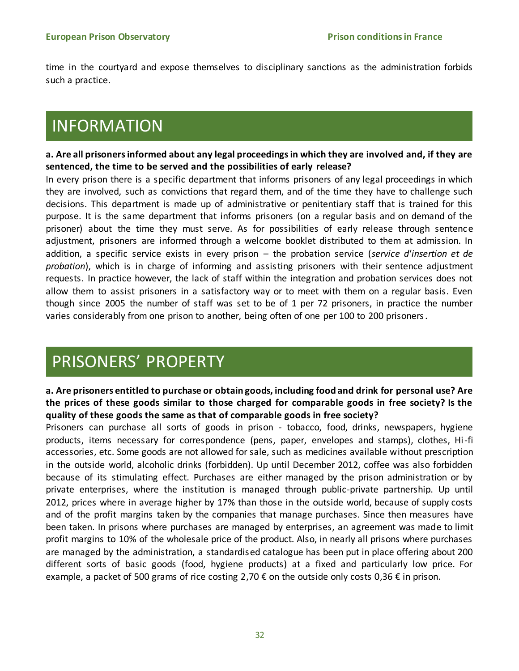time in the courtyard and expose themselves to disciplinary sanctions as the administration forbids such a practice.

# INFORMATION

**a. Are all prisoners informed about any legal proceedings in which they are involved and, if they are sentenced, the time to be served and the possibilities of early release?**

In every prison there is a specific department that informs prisoners of any legal proceedings in which they are involved, such as convictions that regard them, and of the time they have to challenge such decisions. This department is made up of administrative or penitentiary staff that is trained for this purpose. It is the same department that informs prisoners (on a regular basis and on demand of the prisoner) about the time they must serve. As for possibilities of early release through sentence adjustment, prisoners are informed through a welcome booklet distributed to them at admission. In addition, a specific service exists in every prison – the probation service (*service d'insertion et de probation*), which is in charge of informing and assisting prisoners with their sentence adjustment requests. In practice however, the lack of staff within the integration and probation services does not allow them to assist prisoners in a satisfactory way or to meet with them on a regular basis. Even though since 2005 the number of staff was set to be of 1 per 72 prisoners, in practice the number varies considerably from one prison to another, being often of one per 100 to 200 prisoners.

# PRISONERS' PROPERTY

### **a. Are prisoners entitled to purchase or obtain goods, including food and drink for personal use? Are the prices of these goods similar to those charged for comparable goods in free society? Is the quality of these goods the same as that of comparable goods in free society?**

Prisoners can purchase all sorts of goods in prison - tobacco, food, drinks, newspapers, hygiene products, items necessary for correspondence (pens, paper, envelopes and stamps), clothes, Hi-fi accessories, etc. Some goods are not allowed for sale, such as medicines available without prescription in the outside world, alcoholic drinks (forbidden). Up until December 2012, coffee was also forbidden because of its stimulating effect. Purchases are either managed by the prison administration or by private enterprises, where the institution is managed through public-private partnership. Up until 2012, prices where in average higher by 17% than those in the outside world, because of supply costs and of the profit margins taken by the companies that manage purchases. Since then measures have been taken. In prisons where purchases are managed by enterprises, an agreement was made to limit profit margins to 10% of the wholesale price of the product. Also, in nearly all prisons where purchases are managed by the administration, a standardised catalogue has been put in place offering about 200 different sorts of basic goods (food, hygiene products) at a fixed and particularly low price. For example, a packet of 500 grams of rice costing 2,70  $\epsilon$  on the outside only costs 0,36  $\epsilon$  in prison.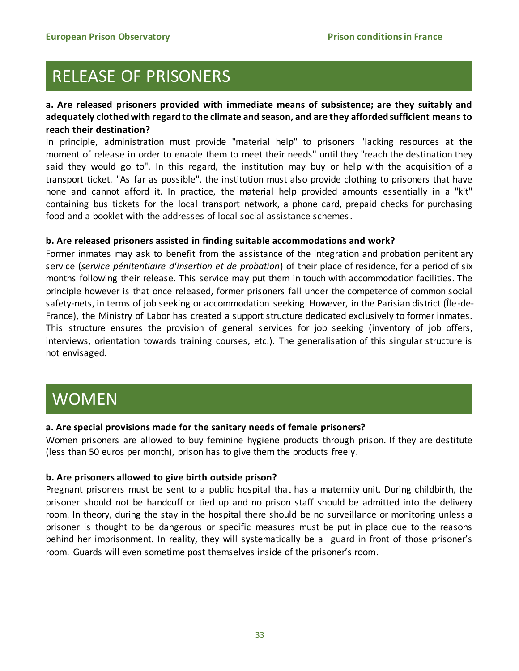# RELEASE OF PRISONERS

# **a. Are released prisoners provided with immediate means of subsistence; are they suitably and adequately clothed with regard to the climate and season, and are they afforded sufficient means to reach their destination?**

In principle, administration must provide "material help" to prisoners "lacking resources at the moment of release in order to enable them to meet their needs" until they "reach the destination they said they would go to". In this regard, the institution may buy or help with the acquisition of a transport ticket. "As far as possible", the institution must also provide clothing to prisoners that have none and cannot afford it. In practice, the material help provided amounts essentially in a "kit" containing bus tickets for the local transport network, a phone card, prepaid checks for purchasing food and a booklet with the addresses of local social assistance schemes.

#### **b. Are released prisoners assisted in finding suitable accommodations and work?**

Former inmates may ask to benefit from the assistance of the integration and probation penitentiary service (*service pénitentiaire d'insertion et de probation*) of their place of residence, for a period of six months following their release. This service may put them in touch with accommodation facilities. The principle however is that once released, former prisoners fall under the competence of common social safety-nets, in terms of job seeking or accommodation seeking. However, in the Parisian district (Île-de-France), the Ministry of Labor has created a support structure dedicated exclusively to former inmates. This structure ensures the provision of general services for job seeking (inventory of job offers, interviews, orientation towards training courses, etc.). The generalisation of this singular structure is not envisaged.

# WOMEN

### **a. Are special provisions made for the sanitary needs of female prisoners?**

Women prisoners are allowed to buy feminine hygiene products through prison. If they are destitute (less than 50 euros per month), prison has to give them the products freely.

#### **b. Are prisoners allowed to give birth outside prison?**

Pregnant prisoners must be sent to a public hospital that has a maternity unit. During childbirth, the prisoner should not be handcuff or tied up and no prison staff should be admitted into the delivery room. In theory, during the stay in the hospital there should be no surveillance or monitoring unless a prisoner is thought to be dangerous or specific measures must be put in place due to the reasons behind her imprisonment. In reality, they will systematically be a guard in front of those prisoner's room. Guards will even sometime post themselves inside of the prisoner's room.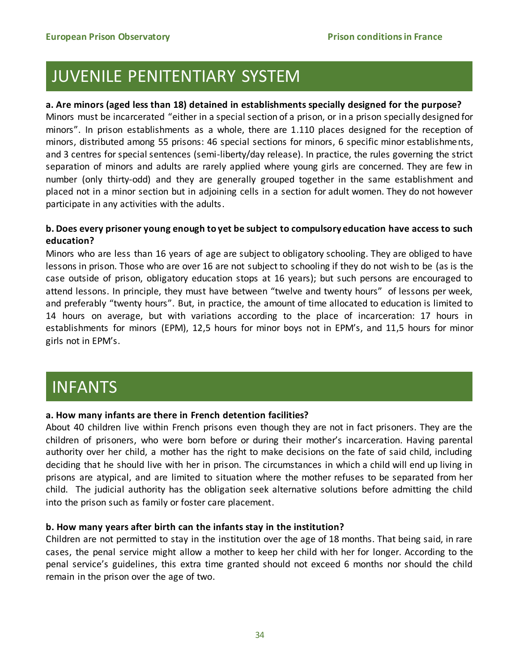# JUVENILE PENITENTIARY SYSTEM

#### **a. Are minors (aged less than 18) detained in establishments specially designed for the purpose?**

Minors must be incarcerated "either in a special section of a prison, or in a prison specially designed for minors". In prison establishments as a whole, there are 1.110 places designed for the reception of minors, distributed among 55 prisons: 46 special sections for minors, 6 specific minor establishments, and 3 centres for special sentences (semi-liberty/day release). In practice, the rules governing the strict separation of minors and adults are rarely applied where young girls are concerned. They are few in number (only thirty-odd) and they are generally grouped together in the same establishment and placed not in a minor section but in adjoining cells in a section for adult women. They do not however participate in any activities with the adults.

#### **b. Does every prisoner young enough to yet be subject to compulsory education have access to such education?**

Minors who are less than 16 years of age are subject to obligatory schooling. They are obliged to have lessons in prison. Those who are over 16 are not subject to schooling if they do not wish to be (as is the case outside of prison, obligatory education stops at 16 years); but such persons are encouraged to attend lessons. In principle, they must have between "twelve and twenty hours" of lessons per week, and preferably "twenty hours". But, in practice, the amount of time allocated to education is limited to 14 hours on average, but with variations according to the place of incarceration: 17 hours in establishments for minors (EPM), 12,5 hours for minor boys not in EPM's, and 11,5 hours for minor girls not in EPM's.

# INFANTS

### **a. How many infants are there in French detention facilities?**

About 40 children live within French prisons even though they are not in fact prisoners. They are the children of prisoners, who were born before or during their mother's incarceration. Having parental authority over her child, a mother has the right to make decisions on the fate of said child, including deciding that he should live with her in prison. The circumstances in which a child will end up living in prisons are atypical, and are limited to situation where the mother refuses to be separated from her child. The judicial authority has the obligation seek alternative solutions before admitting the child into the prison such as family or foster care placement.

#### **b. How many years after birth can the infants stay in the institution?**

Children are not permitted to stay in the institution over the age of 18 months. That being said, in rare cases, the penal service might allow a mother to keep her child with her for longer. According to the penal service's guidelines, this extra time granted should not exceed 6 months nor should the child remain in the prison over the age of two.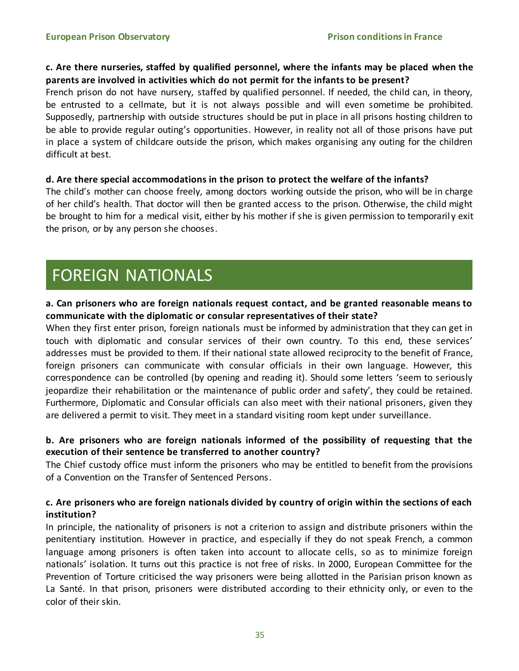### **c. Are there nurseries, staffed by qualified personnel, where the infants may be placed when the parents are involved in activities which do not permit for the infants to be present?**

French prison do not have nursery, staffed by qualified personnel. If needed, the child can, in theory, be entrusted to a cellmate, but it is not always possible and will even sometime be prohibited. Supposedly, partnership with outside structures should be put in place in all prisons hosting children to be able to provide regular outing's opportunities. However, in reality not all of those prisons have put in place a system of childcare outside the prison, which makes organising any outing for the children difficult at best.

#### **d. Are there special accommodations in the prison to protect the welfare of the infants?**

The child's mother can choose freely, among doctors working outside the prison, who will be in charge of her child's health. That doctor will then be granted access to the prison. Otherwise, the child might be brought to him for a medical visit, either by his mother if she is given permission to temporaril y exit the prison, or by any person she chooses.

# FOREIGN NATIONALS

### **a. Can prisoners who are foreign nationals request contact, and be granted reasonable means to communicate with the diplomatic or consular representatives of their state?**

When they first enter prison, foreign nationals must be informed by administration that they can get in touch with diplomatic and consular services of their own country. To this end, these services' addresses must be provided to them. If their national state allowed reciprocity to the benefit of France, foreign prisoners can communicate with consular officials in their own language. However, this correspondence can be controlled (by opening and reading it). Should some letters 'seem to seriously jeopardize their rehabilitation or the maintenance of public order and safety', they could be retained. Furthermore, Diplomatic and Consular officials can also meet with their national prisoners, given they are delivered a permit to visit. They meet in a standard visiting room kept under surveillance.

### **b. Are prisoners who are foreign nationals informed of the possibility of requesting that the execution of their sentence be transferred to another country?**

The Chief custody office must inform the prisoners who may be entitled to benefit from the provisions of a Convention on the Transfer of Sentenced Persons.

### **c. Are prisoners who are foreign nationals divided by country of origin within the sections of each institution?**

In principle, the nationality of prisoners is not a criterion to assign and distribute prisoners within the penitentiary institution. However in practice, and especially if they do not speak French, a common language among prisoners is often taken into account to allocate cells, so as to minimize foreign nationals' isolation. It turns out this practice is not free of risks. In 2000, European Committee for the Prevention of Torture criticised the way prisoners were being allotted in the Parisian prison known as La Santé. In that prison, prisoners were distributed according to their ethnicity only, or even to the color of their skin.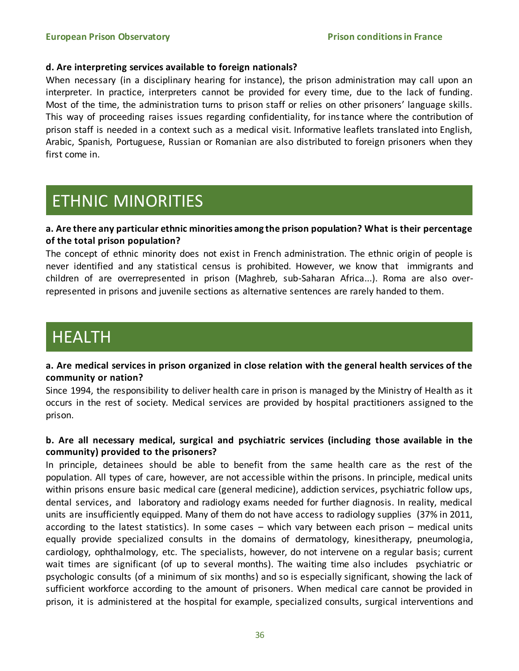#### **d. Are interpreting services available to foreign nationals?**

When necessary (in a disciplinary hearing for instance), the prison administration may call upon an interpreter. In practice, interpreters cannot be provided for every time, due to the lack of funding. Most of the time, the administration turns to prison staff or relies on other prisoners' language skills. This way of proceeding raises issues regarding confidentiality, for instance where the contribution of prison staff is needed in a context such as a medical visit. Informative leaflets translated into English, Arabic, Spanish, Portuguese, Russian or Romanian are also distributed to foreign prisoners when they first come in.

# ETHNIC MINORITIES

### **a. Are there any particular ethnic minorities among the prison population? What is their percentage of the total prison population?**

The concept of ethnic minority does not exist in French administration. The ethnic origin of people is never identified and any statistical census is prohibited. However, we know that immigrants and children of are overrepresented in prison (Maghreb, sub-Saharan Africa...). Roma are also overrepresented in prisons and juvenile sections as alternative sentences are rarely handed to them.

# HEALTH

### **a. Are medical services in prison organized in close relation with the general health services of the community or nation?**

Since 1994, the responsibility to deliver health care in prison is managed by the Ministry of Health as it occurs in the rest of society. Medical services are provided by hospital practitioners assigned to the prison.

### **b. Are all necessary medical, surgical and psychiatric services (including those available in the community) provided to the prisoners?**

In principle, detainees should be able to benefit from the same health care as the rest of the population. All types of care, however, are not accessible within the prisons. In principle, medical units within prisons ensure basic medical care (general medicine), addiction services, psychiatric follow ups, dental services, and laboratory and radiology exams needed for further diagnosis. In reality, medical units are insufficiently equipped. Many of them do not have access to radiology supplies (37% in 2011, according to the latest statistics). In some cases – which vary between each prison – medical units equally provide specialized consults in the domains of dermatology, kinesitherapy, pneumologia, cardiology, ophthalmology, etc. The specialists, however, do not intervene on a regular basis; current wait times are significant (of up to several months). The waiting time also includes psychiatric or psychologic consults (of a minimum of six months) and so is especially significant, showing the lack of sufficient workforce according to the amount of prisoners. When medical care cannot be provided in prison, it is administered at the hospital for example, specialized consults, surgical interventions and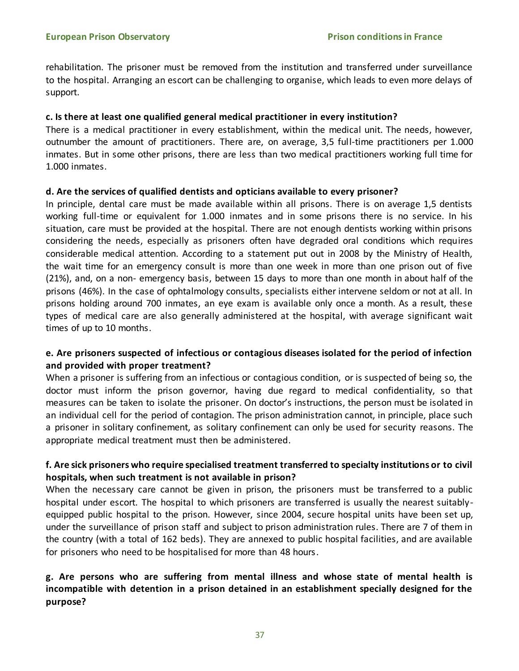rehabilitation. The prisoner must be removed from the institution and transferred under surveillance to the hospital. Arranging an escort can be challenging to organise, which leads to even more delays of support.

### **c. Is there at least one qualified general medical practitioner in every institution?**

There is a medical practitioner in every establishment, within the medical unit. The needs, however, outnumber the amount of practitioners. There are, on average, 3,5 full-time practitioners per 1.000 inmates. But in some other prisons, there are less than two medical practitioners working full time for 1.000 inmates.

### **d. Are the services of qualified dentists and opticians available to every prisoner?**

In principle, dental care must be made available within all prisons. There is on average 1,5 dentists working full-time or equivalent for 1.000 inmates and in some prisons there is no service. In his situation, care must be provided at the hospital. There are not enough dentists working within prisons considering the needs, especially as prisoners often have degraded oral conditions which requires considerable medical attention. According to a statement put out in 2008 by the Ministry of Health, the wait time for an emergency consult is more than one week in more than one prison out of five (21%), and, on a non- emergency basis, between 15 days to more than one month in about half of the prisons (46%). In the case of ophtalmology consults, specialists either intervene seldom or not at all. In prisons holding around 700 inmates, an eye exam is available only once a month. As a result, these types of medical care are also generally administered at the hospital, with average significant wait times of up to 10 months.

### **e. Are prisoners suspected of infectious or contagious diseases isolated for the period of infection and provided with proper treatment?**

When a prisoner is suffering from an infectious or contagious condition, or is suspected of being so, the doctor must inform the prison governor, having due regard to medical confidentiality, so that measures can be taken to isolate the prisoner. On doctor's instructions, the person must be isolated in an individual cell for the period of contagion. The prison administration cannot, in principle, place such a prisoner in solitary confinement, as solitary confinement can only be used for security reasons. The appropriate medical treatment must then be administered.

# **f. Are sick prisoners who require specialised treatment transferred to specialty institutions or to civil hospitals, when such treatment is not available in prison?**

When the necessary care cannot be given in prison, the prisoners must be transferred to a public hospital under escort. The hospital to which prisoners are transferred is usually the nearest suitablyequipped public hospital to the prison. However, since 2004, secure hospital units have been set up, under the surveillance of prison staff and subject to prison administration rules. There are 7 of them in the country (with a total of 162 beds). They are annexed to public hospital facilities, and are available for prisoners who need to be hospitalised for more than 48 hours.

# **g. Are persons who are suffering from mental illness and whose state of mental health is incompatible with detention in a prison detained in an establishment specially designed for the purpose?**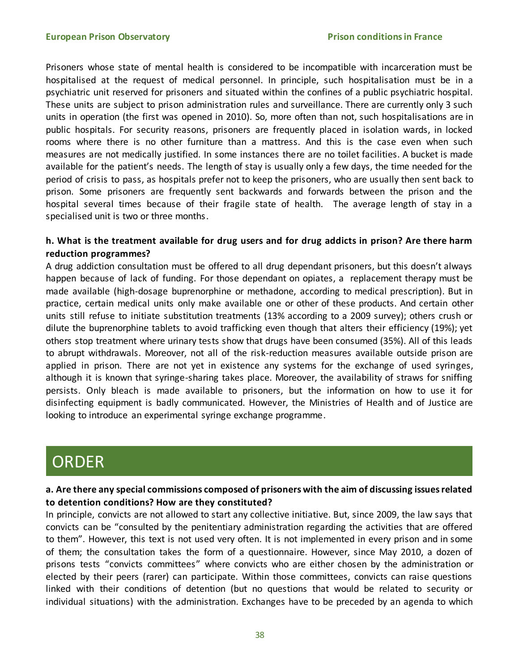Prisoners whose state of mental health is considered to be incompatible with incarceration must be hospitalised at the request of medical personnel. In principle, such hospitalisation must be in a psychiatric unit reserved for prisoners and situated within the confines of a public psychiatric hospital. These units are subject to prison administration rules and surveillance. There are currently only 3 such units in operation (the first was opened in 2010). So, more often than not, such hospitalisations are in public hospitals. For security reasons, prisoners are frequently placed in isolation wards, in locked rooms where there is no other furniture than a mattress. And this is the case even when such measures are not medically justified. In some instances there are no toilet facilities. A bucket is made available for the patient's needs. The length of stay is usually only a few days, the time needed for the period of crisis to pass, as hospitals prefer not to keep the prisoners, who are usually then sent back to prison. Some prisoners are frequently sent backwards and forwards between the prison and the hospital several times because of their fragile state of health. The average length of stay in a specialised unit is two or three months.

### **h. What is the treatment available for drug users and for drug addicts in prison? Are there harm reduction programmes?**

A drug addiction consultation must be offered to all drug dependant prisoners, but this doesn't always happen because of lack of funding. For those dependant on opiates, a replacement therapy must be made available (high-dosage buprenorphine or methadone, according to medical prescription). But in practice, certain medical units only make available one or other of these products. And certain other units still refuse to initiate substitution treatments (13% according to a 2009 survey); others crush or dilute the buprenorphine tablets to avoid trafficking even though that alters their efficiency (19%); yet others stop treatment where urinary tests show that drugs have been consumed (35%). All of this leads to abrupt withdrawals. Moreover, not all of the risk-reduction measures available outside prison are applied in prison. There are not yet in existence any systems for the exchange of used syringes, although it is known that syringe-sharing takes place. Moreover, the availability of straws for sniffing persists. Only bleach is made available to prisoners, but the information on how to use it for disinfecting equipment is badly communicated. However, the Ministries of Health and of Justice are looking to introduce an experimental syringe exchange programme.

# ORDER

### **a. Are there any special commissions composed of prisoners with the aim of discussing issues related to detention conditions? How are they constituted?**

In principle, convicts are not allowed to start any collective initiative. But, since 2009, the law says that convicts can be "consulted by the penitentiary administration regarding the activities that are offered to them". However, this text is not used very often. It is not implemented in every prison and in some of them; the consultation takes the form of a questionnaire. However, since May 2010, a dozen of prisons tests "convicts committees" where convicts who are either chosen by the administration or elected by their peers (rarer) can participate. Within those committees, convicts can raise questions linked with their conditions of detention (but no questions that would be related to security or individual situations) with the administration. Exchanges have to be preceded by an agenda to which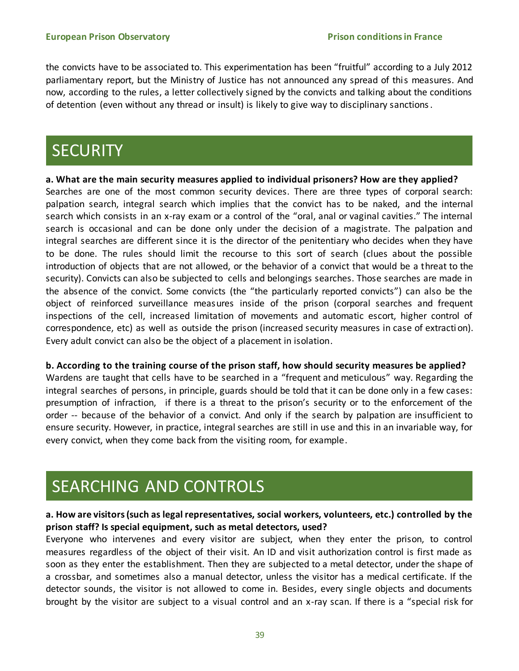the convicts have to be associated to. This experimentation has been "fruitful" according to a July 2012 parliamentary report, but the Ministry of Justice has not announced any spread of this measures. And now, according to the rules, a letter collectively signed by the convicts and talking about the conditions of detention (even without any thread or insult) is likely to give way to disciplinary sanctions.

# **SECURITY**

**a. What are the main security measures applied to individual prisoners? How are they applied?** Searches are one of the most common security devices. There are three types of corporal search: palpation search, integral search which implies that the convict has to be naked, and the internal search which consists in an x-ray exam or a control of the "oral, anal or vaginal cavities." The internal search is occasional and can be done only under the decision of a magistrate. The palpation and integral searches are different since it is the director of the penitentiary who decides when they have to be done. The rules should limit the recourse to this sort of search (clues about the possible introduction of objects that are not allowed, or the behavior of a convict that would be a threat to the security). Convicts can also be subjected to cells and belongings searches. Those searches are made in the absence of the convict. Some convicts (the "the particularly reported convicts") can also be the object of reinforced surveillance measures inside of the prison (corporal searches and frequent inspections of the cell, increased limitation of movements and automatic escort, higher control of correspondence, etc) as well as outside the prison (increased security measures in case of extraction). Every adult convict can also be the object of a placement in isolation.

#### **b. According to the training course of the prison staff, how should security measures be applied?**

Wardens are taught that cells have to be searched in a "frequent and meticulous" way. Regarding the integral searches of persons, in principle, guards should be told that it can be done only in a few cases: presumption of infraction, if there is a threat to the prison's security or to the enforcement of the order -- because of the behavior of a convict. And only if the search by palpation are insufficient to ensure security. However, in practice, integral searches are still in use and this in an invariable way, for every convict, when they come back from the visiting room, for example.

# SEARCHING AND CONTROLS

### **a. How are visitors (such as legal representatives, social workers, volunteers, etc.) controlled by the prison staff? Is special equipment, such as metal detectors, used?**

Everyone who intervenes and every visitor are subject, when they enter the prison, to control measures regardless of the object of their visit. An ID and visit authorization control is first made as soon as they enter the establishment. Then they are subjected to a metal detector, under the shape of a crossbar, and sometimes also a manual detector, unless the visitor has a medical certificate. If the detector sounds, the visitor is not allowed to come in. Besides, every single objects and documents brought by the visitor are subject to a visual control and an x-ray scan. If there is a "special risk for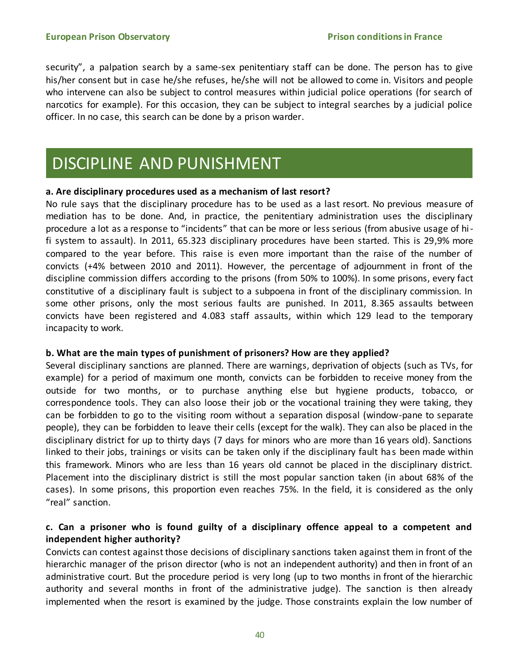security", a palpation search by a same-sex penitentiary staff can be done. The person has to give his/her consent but in case he/she refuses, he/she will not be allowed to come in. Visitors and people who intervene can also be subject to control measures within judicial police operations (for search of narcotics for example). For this occasion, they can be subject to integral searches by a judicial police officer. In no case, this search can be done by a prison warder.

# DISCIPLINE AND PUNISHMENT

#### **a. Are disciplinary procedures used as a mechanism of last resort?**

No rule says that the disciplinary procedure has to be used as a last resort. No previous measure of mediation has to be done. And, in practice, the penitentiary administration uses the disciplinary procedure a lot as a response to "incidents" that can be more or less serious (from abusive usage of hifi system to assault). In 2011, 65.323 disciplinary procedures have been started. This is 29,9% more compared to the year before. This raise is even more important than the raise of the number of convicts (+4% between 2010 and 2011). However, the percentage of adjournment in front of the discipline commission differs according to the prisons (from 50% to 100%). In some prisons, every fact constitutive of a disciplinary fault is subject to a subpoena in front of the disciplinary commission. In some other prisons, only the most serious faults are punished. In 2011, 8.365 assaults between convicts have been registered and 4.083 staff assaults, within which 129 lead to the temporary incapacity to work.

#### **b. What are the main types of punishment of prisoners? How are they applied?**

Several disciplinary sanctions are planned. There are warnings, deprivation of objects (such as TVs, for example) for a period of maximum one month, convicts can be forbidden to receive money from the outside for two months, or to purchase anything else but hygiene products, tobacco, or correspondence tools. They can also loose their job or the vocational training they were taking, they can be forbidden to go to the visiting room without a separation disposal (window-pane to separate people), they can be forbidden to leave their cells (except for the walk). They can also be placed in the disciplinary district for up to thirty days (7 days for minors who are more than 16 years old). Sanctions linked to their jobs, trainings or visits can be taken only if the disciplinary fault has been made within this framework. Minors who are less than 16 years old cannot be placed in the disciplinary district. Placement into the disciplinary district is still the most popular sanction taken (in about 68% of the cases). In some prisons, this proportion even reaches 75%. In the field, it is considered as the only "real" sanction.

### **c. Can a prisoner who is found guilty of a disciplinary offence appeal to a competent and independent higher authority?**

Convicts can contest against those decisions of disciplinary sanctions taken against them in front of the hierarchic manager of the prison director (who is not an independent authority) and then in front of an administrative court. But the procedure period is very long (up to two months in front of the hierarchic authority and several months in front of the administrative judge). The sanction is then already implemented when the resort is examined by the judge. Those constraints explain the low number of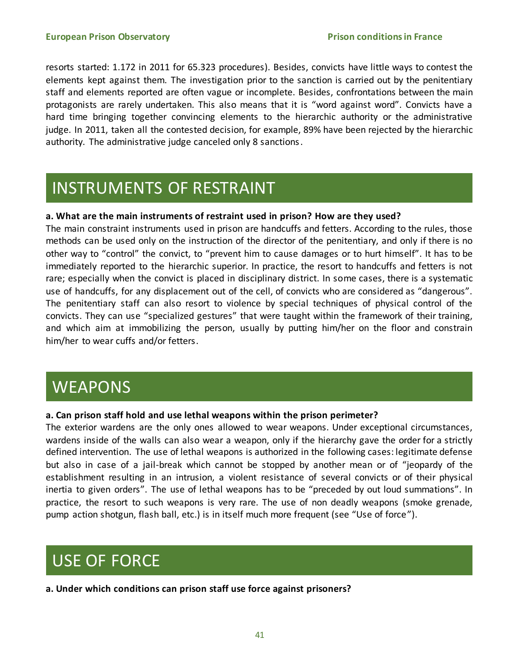resorts started: 1.172 in 2011 for 65.323 procedures). Besides, convicts have little ways to contest the elements kept against them. The investigation prior to the sanction is carried out by the penitentiary staff and elements reported are often vague or incomplete. Besides, confrontations between the main protagonists are rarely undertaken. This also means that it is "word against word". Convicts have a hard time bringing together convincing elements to the hierarchic authority or the administrative judge. In 2011, taken all the contested decision, for example, 89% have been rejected by the hierarchic authority. The administrative judge canceled only 8 sanctions.

# INSTRUMENTS OF RESTRAINT

### **a. What are the main instruments of restraint used in prison? How are they used?**

The main constraint instruments used in prison are handcuffs and fetters. According to the rules, those methods can be used only on the instruction of the director of the penitentiary, and only if there is no other way to "control" the convict, to "prevent him to cause damages or to hurt himself". It has to be immediately reported to the hierarchic superior. In practice, the resort to handcuffs and fetters is not rare; especially when the convict is placed in disciplinary district. In some cases, there is a systematic use of handcuffs, for any displacement out of the cell, of convicts who are considered as "dangerous". The penitentiary staff can also resort to violence by special techniques of physical control of the convicts. They can use "specialized gestures" that were taught within the framework of their training, and which aim at immobilizing the person, usually by putting him/her on the floor and constrain him/her to wear cuffs and/or fetters.

# **WEAPONS**

#### **a. Can prison staff hold and use lethal weapons within the prison perimeter?**

The exterior wardens are the only ones allowed to wear weapons. Under exceptional circumstances, wardens inside of the walls can also wear a weapon, only if the hierarchy gave the order for a strictly defined intervention. The use of lethal weapons is authorized in the following cases: legitimate defense but also in case of a jail-break which cannot be stopped by another mean or of "jeopardy of the establishment resulting in an intrusion, a violent resistance of several convicts or of their physical inertia to given orders". The use of lethal weapons has to be "preceded by out loud summations". In practice, the resort to such weapons is very rare. The use of non deadly weapons (smoke grenade, pump action shotgun, flash ball, etc.) is in itself much more frequent (see "Use of force").

# USE OF FORCE

#### **a. Under which conditions can prison staff use force against prisoners?**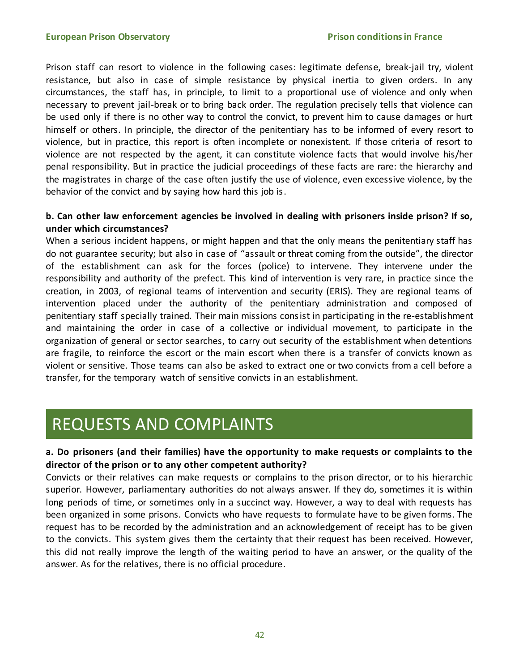Prison staff can resort to violence in the following cases: legitimate defense, break-jail try, violent resistance, but also in case of simple resistance by physical inertia to given orders. In any circumstances, the staff has, in principle, to limit to a proportional use of violence and only when necessary to prevent jail-break or to bring back order. The regulation precisely tells that violence can be used only if there is no other way to control the convict, to prevent him to cause damages or hurt himself or others. In principle, the director of the penitentiary has to be informed of every resort to violence, but in practice, this report is often incomplete or nonexistent. If those criteria of resort to violence are not respected by the agent, it can constitute violence facts that would involve his/her penal responsibility. But in practice the judicial proceedings of these facts are rare: the hierarchy and the magistrates in charge of the case often justify the use of violence, even excessive violence, by the behavior of the convict and by saying how hard this job is.

### **b. Can other law enforcement agencies be involved in dealing with prisoners inside prison? If so, under which circumstances?**

When a serious incident happens, or might happen and that the only means the penitentiary staff has do not guarantee security; but also in case of "assault or threat coming from the outside", the director of the establishment can ask for the forces (police) to intervene. They intervene under the responsibility and authority of the prefect. This kind of intervention is very rare, in practice since the creation, in 2003, of regional teams of intervention and security (ERIS). They are regional teams of intervention placed under the authority of the penitentiary administration and composed of penitentiary staff specially trained. Their main missions consist in participating in the re-establishment and maintaining the order in case of a collective or individual movement, to participate in the organization of general or sector searches, to carry out security of the establishment when detentions are fragile, to reinforce the escort or the main escort when there is a transfer of convicts known as violent or sensitive. Those teams can also be asked to extract one or two convicts from a cell before a transfer, for the temporary watch of sensitive convicts in an establishment.

# REQUESTS AND COMPLAINTS

# **a. Do prisoners (and their families) have the opportunity to make requests or complaints to the director of the prison or to any other competent authority?**

Convicts or their relatives can make requests or complains to the prison director, or to his hierarchic superior. However, parliamentary authorities do not always answer. If they do, sometimes it is within long periods of time, or sometimes only in a succinct way. However, a way to deal with requests has been organized in some prisons. Convicts who have requests to formulate have to be given forms. The request has to be recorded by the administration and an acknowledgement of receipt has to be given to the convicts. This system gives them the certainty that their request has been received. However, this did not really improve the length of the waiting period to have an answer, or the quality of the answer. As for the relatives, there is no official procedure.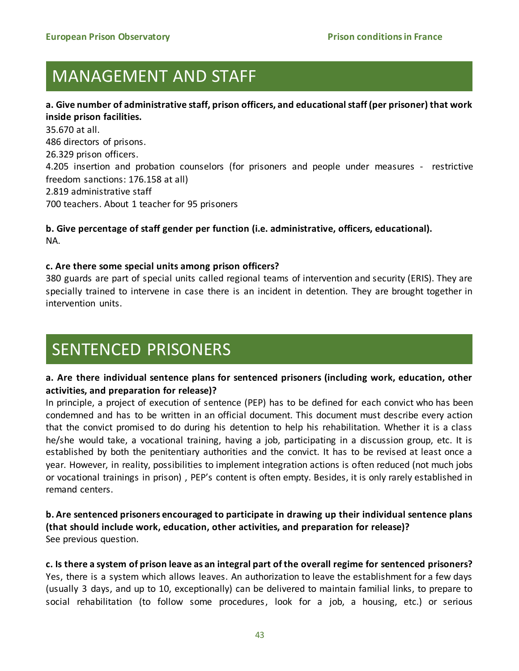# MANAGEMENT AND STAFF

### **a. Give number of administrative staff, prison officers, and educational staff (per prisoner) that work inside prison facilities.**

35.670 at all. 486 directors of prisons. 26.329 prison officers. 4.205 insertion and probation counselors (for prisoners and people under measures - restrictive freedom sanctions: 176.158 at all) 2.819 administrative staff 700 teachers. About 1 teacher for 95 prisoners

# **b. Give percentage of staff gender per function (i.e. administrative, officers, educational).** NA.

### **c. Are there some special units among prison officers?**

380 guards are part of special units called regional teams of intervention and security (ERIS). They are specially trained to intervene in case there is an incident in detention. They are brought together in intervention units.

# SENTENCED PRISONERS

# **a. Are there individual sentence plans for sentenced prisoners (including work, education, other activities, and preparation for release)?**

In principle, a project of execution of sentence (PEP) has to be defined for each convict who has been condemned and has to be written in an official document. This document must describe every action that the convict promised to do during his detention to help his rehabilitation. Whether it is a class he/she would take, a vocational training, having a job, participating in a discussion group, etc. It is established by both the penitentiary authorities and the convict. It has to be revised at least once a year. However, in reality, possibilities to implement integration actions is often reduced (not much jobs or vocational trainings in prison) , PEP's content is often empty. Besides, it is only rarely established in remand centers.

**b. Are sentenced prisoners encouraged to participate in drawing up their individual sentence plans (that should include work, education, other activities, and preparation for release)?** See previous question.

# **c. Is there a system of prison leave as an integral part of the overall regime for sentenced prisoners?**

Yes, there is a system which allows leaves. An authorization to leave the establishment for a few days (usually 3 days, and up to 10, exceptionally) can be delivered to maintain familial links, to prepare to social rehabilitation (to follow some procedures, look for a job, a housing, etc.) or serious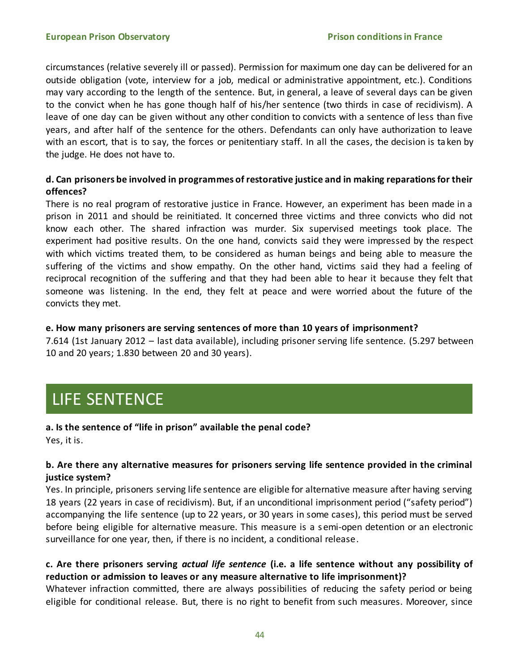circumstances (relative severely ill or passed). Permission for maximum one day can be delivered for an outside obligation (vote, interview for a job, medical or administrative appointment, etc.). Conditions may vary according to the length of the sentence. But, in general, a leave of several days can be given to the convict when he has gone though half of his/her sentence (two thirds in case of recidivism). A leave of one day can be given without any other condition to convicts with a sentence of less than five years, and after half of the sentence for the others. Defendants can only have authorization to leave with an escort, that is to say, the forces or penitentiary staff. In all the cases, the decision is ta ken by the judge. He does not have to.

# **d. Can prisoners be involved in programmes of restorative justice and in making reparations for their offences?**

There is no real program of restorative justice in France. However, an experiment has been made in a prison in 2011 and should be reinitiated. It concerned three victims and three convicts who did not know each other. The shared infraction was murder. Six supervised meetings took place. The experiment had positive results. On the one hand, convicts said they were impressed by the respect with which victims treated them, to be considered as human beings and being able to measure the suffering of the victims and show empathy. On the other hand, victims said they had a feeling of reciprocal recognition of the suffering and that they had been able to hear it because they felt that someone was listening. In the end, they felt at peace and were worried about the future of the convicts they met.

### **e. How many prisoners are serving sentences of more than 10 years of imprisonment?**

7.614 (1st January 2012 – last data available), including prisoner serving life sentence. (5.297 between 10 and 20 years; 1.830 between 20 and 30 years).

# LIFE SENTENCE

# **a. Is the sentence of "life in prison" available the penal code?**

Yes, it is.

# **b. Are there any alternative measures for prisoners serving life sentence provided in the criminal justice system?**

Yes. In principle, prisoners serving life sentence are eligible for alternative measure after having serving 18 years (22 years in case of recidivism). But, if an unconditional imprisonment period ("safety period") accompanying the life sentence (up to 22 years, or 30 years in some cases), this period must be served before being eligible for alternative measure. This measure is a semi-open detention or an electronic surveillance for one year, then, if there is no incident, a conditional release.

# **c. Are there prisoners serving** *actual life sentence* **(i.e. a life sentence without any possibility of reduction or admission to leaves or any measure alternative to life imprisonment)?**

Whatever infraction committed, there are always possibilities of reducing the safety period or being eligible for conditional release. But, there is no right to benefit from such measures. Moreover, since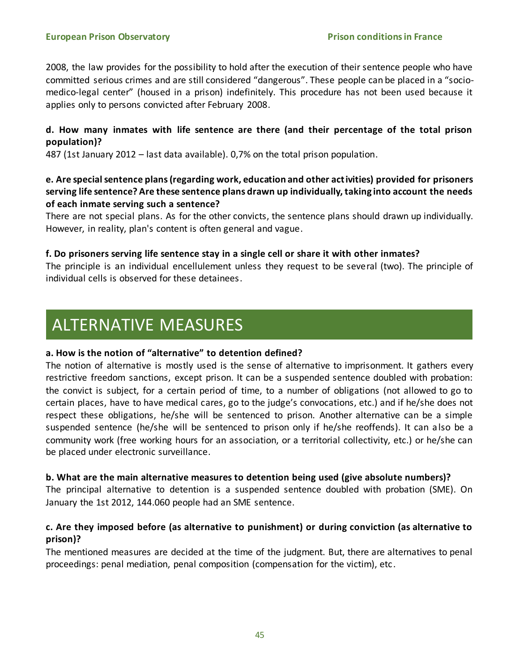2008, the law provides for the possibility to hold after the execution of their sentence people who have committed serious crimes and are still considered "dangerous". These people can be placed in a "sociomedico-legal center" (housed in a prison) indefinitely. This procedure has not been used because it applies only to persons convicted after February 2008.

### **d. How many inmates with life sentence are there (and their percentage of the total prison population)?**

487 (1st January 2012 – last data available). 0,7% on the total prison population.

### **e. Are special sentence plans (regarding work, education and other activities) provided for prisoners serving life sentence? Are these sentence plans drawn up individually, taking into account the needs of each inmate serving such a sentence?**

There are not special plans. As for the other convicts, the sentence plans should drawn up individually. However, in reality, plan's content is often general and vague.

#### **f. Do prisoners serving life sentence stay in a single cell or share it with other inmates?**

The principle is an individual encellulement unless they request to be several (two). The principle of individual cells is observed for these detainees.

# ALTERNATIVE MEASURES

#### **a. How is the notion of "alternative" to detention defined?**

The notion of alternative is mostly used is the sense of alternative to imprisonment. It gathers every restrictive freedom sanctions, except prison. It can be a suspended sentence doubled with probation: the convict is subject, for a certain period of time, to a number of obligations (not allowed to go to certain places, have to have medical cares, go to the judge's convocations, etc.) and if he/she does not respect these obligations, he/she will be sentenced to prison. Another alternative can be a simple suspended sentence (he/she will be sentenced to prison only if he/she reoffends). It can also be a community work (free working hours for an association, or a territorial collectivity, etc.) or he/she can be placed under electronic surveillance.

#### **b. What are the main alternative measures to detention being used (give absolute numbers)?**

The principal alternative to detention is a suspended sentence doubled with probation (SME). On January the 1st 2012, 144.060 people had an SME sentence.

### **c. Are they imposed before (as alternative to punishment) or during conviction (as alternative to prison)?**

The mentioned measures are decided at the time of the judgment. But, there are alternatives to penal proceedings: penal mediation, penal composition (compensation for the victim), etc.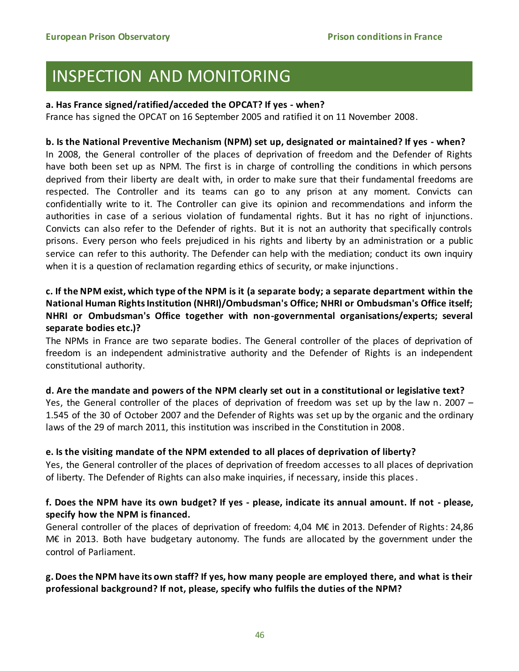# INSPECTION AND MONITORING

### **a. Has France signed/ratified/acceded the OPCAT? If yes - when?**

France has signed the OPCAT on 16 September 2005 and ratified it on 11 November 2008.

#### **b. Is the National Preventive Mechanism (NPM) set up, designated or maintained? If yes - when?**

In 2008, the General controller of the places of deprivation of freedom and the Defender of Rights have both been set up as NPM. The first is in charge of controlling the conditions in which persons deprived from their liberty are dealt with, in order to make sure that their fundamental freedoms are respected. The Controller and its teams can go to any prison at any moment. Convicts can confidentially write to it. The Controller can give its opinion and recommendations and inform the authorities in case of a serious violation of fundamental rights. But it has no right of injunctions. Convicts can also refer to the Defender of rights. But it is not an authority that specifically controls prisons. Every person who feels prejudiced in his rights and liberty by an administration or a public service can refer to this authority. The Defender can help with the mediation; conduct its own inquiry when it is a question of reclamation regarding ethics of security, or make injunctions.

# **c. If the NPM exist, which type of the NPM is it (a separate body; a separate department within the National Human Rights Institution (NHRI)/Ombudsman's Office; NHRI or Ombudsman's Office itself; NHRI or Ombudsman's Office together with non-governmental organisations/experts; several separate bodies etc.)?**

The NPMs in France are two separate bodies. The General controller of the places of deprivation of freedom is an independent administrative authority and the Defender of Rights is an independent constitutional authority.

#### **d. Are the mandate and powers of the NPM clearly set out in a constitutional or legislative text?**

Yes, the General controller of the places of deprivation of freedom was set up by the law n. 2007 – 1.545 of the 30 of October 2007 and the Defender of Rights was set up by the organic and the ordinary laws of the 29 of march 2011, this institution was inscribed in the Constitution in 2008.

#### **e. Is the visiting mandate of the NPM extended to all places of deprivation of liberty?**

Yes, the General controller of the places of deprivation of freedom accesses to all places of deprivation of liberty. The Defender of Rights can also make inquiries, if necessary, inside this places.

### **f. Does the NPM have its own budget? If yes - please, indicate its annual amount. If not - please, specify how the NPM is financed.**

General controller of the places of deprivation of freedom: 4,04 M€ in 2013. Defender of Rights: 24,86 M€ in 2013. Both have budgetary autonomy. The funds are allocated by the government under the control of Parliament.

### **g. Does the NPM have its own staff? If yes, how many people are employed there, and what is their professional background? If not, please, specify who fulfils the duties of the NPM?**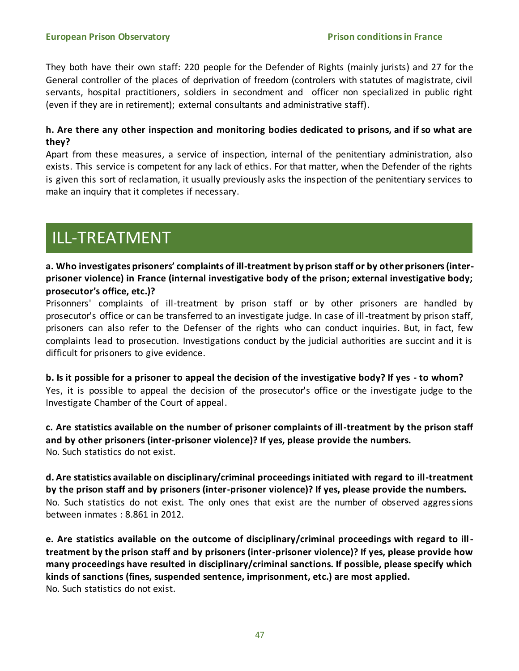They both have their own staff: 220 people for the Defender of Rights (mainly jurists) and 27 for the General controller of the places of deprivation of freedom (controlers with statutes of magistrate, civil servants, hospital practitioners, soldiers in secondment and officer non specialized in public right (even if they are in retirement); external consultants and administrative staff).

### **h. Are there any other inspection and monitoring bodies dedicated to prisons, and if so what are they?**

Apart from these measures, a service of inspection, internal of the penitentiary administration, also exists. This service is competent for any lack of ethics. For that matter, when the Defender of the rights is given this sort of reclamation, it usually previously asks the inspection of the penitentiary services to make an inquiry that it completes if necessary.

# ILL-TREATMENT

**a. Who investigates prisoners' complaints of ill-treatment by prison staff or by other prisoners (interprisoner violence) in France (internal investigative body of the prison; external investigative body; prosecutor's office, etc.)?**

Prisonners' complaints of ill-treatment by prison staff or by other prisoners are handled by prosecutor's office or can be transferred to an investigate judge. In case of ill-treatment by prison staff, prisoners can also refer to the Defenser of the rights who can conduct inquiries. But, in fact, few complaints lead to prosecution. Investigations conduct by the judicial authorities are succint and it is difficult for prisoners to give evidence.

**b. Is it possible for a prisoner to appeal the decision of the investigative body? If yes - to whom?**  Yes, it is possible to appeal the decision of the prosecutor's office or the investigate judge to the Investigate Chamber of the Court of appeal.

**c. Are statistics available on the number of prisoner complaints of ill-treatment by the prison staff and by other prisoners (inter-prisoner violence)? If yes, please provide the numbers.** No. Such statistics do not exist.

**d. Are statistics available on disciplinary/criminal proceedings initiated with regard to ill-treatment by the prison staff and by prisoners (inter-prisoner violence)? If yes, please provide the numbers.** No. Such statistics do not exist. The only ones that exist are the number of observed aggressions between inmates : 8.861 in 2012.

**e. Are statistics available on the outcome of disciplinary/criminal proceedings with regard to illtreatment by the prison staff and by prisoners (inter-prisoner violence)? If yes, please provide how many proceedings have resulted in disciplinary/criminal sanctions. If possible, please specify which kinds of sanctions (fines, suspended sentence, imprisonment, etc.) are most applied.** No. Such statistics do not exist.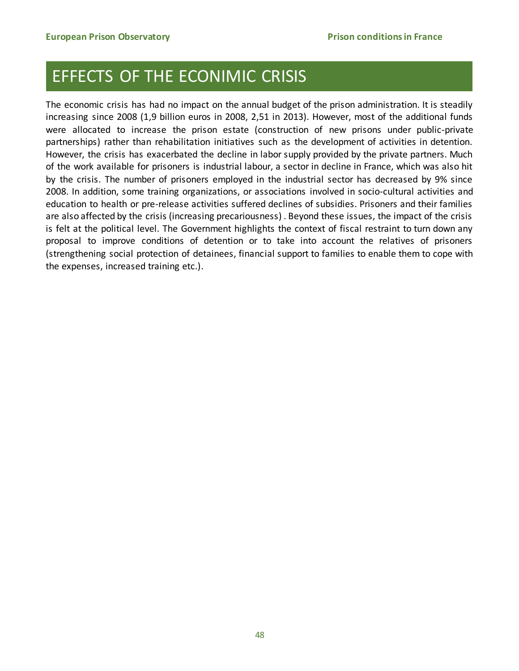# EFFECTS OF THE ECONIMIC CRISIS

The economic crisis has had no impact on the annual budget of the prison administration. It is steadily increasing since 2008 (1,9 billion euros in 2008, 2,51 in 2013). However, most of the additional funds were allocated to increase the prison estate (construction of new prisons under public-private partnerships) rather than rehabilitation initiatives such as the development of activities in detention. However, the crisis has exacerbated the decline in labor supply provided by the private partners. Much of the work available for prisoners is industrial labour, a sector in decline in France, which was also hit by the crisis. The number of prisoners employed in the industrial sector has decreased by 9% since 2008. In addition, some training organizations, or associations involved in socio-cultural activities and education to health or pre-release activities suffered declines of subsidies. Prisoners and their families are also affected by the crisis (increasing precariousness) . Beyond these issues, the impact of the crisis is felt at the political level. The Government highlights the context of fiscal restraint to turn down any proposal to improve conditions of detention or to take into account the relatives of prisoners (strengthening social protection of detainees, financial support to families to enable them to cope with the expenses, increased training etc.).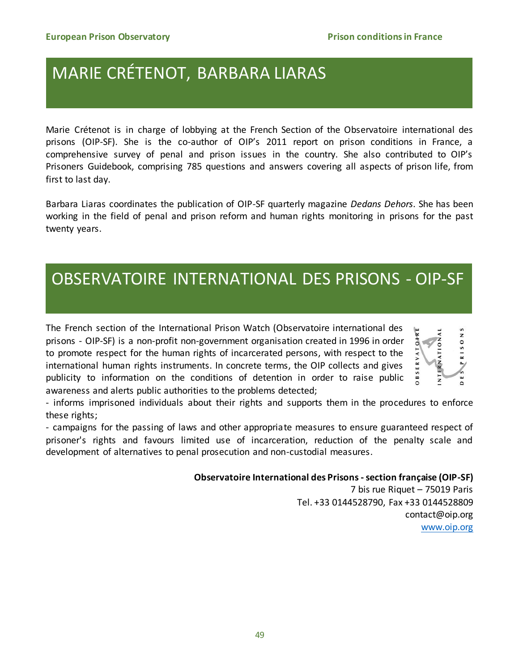# MARIE CRÉTENOT, BARBARA LIARAS

Marie Crétenot is in charge of lobbying at the French Section of the Observatoire international des prisons (OIP-SF). She is the co-author of OIP's 2011 report on prison conditions in France, a comprehensive survey of penal and prison issues in the country. She also contributed to OIP's Prisoners Guidebook, comprising 785 questions and answers covering all aspects of prison life, from first to last day.

Barbara Liaras coordinates the publication of OIP-SF quarterly magazine *Dedans Dehors*. She has been working in the field of penal and prison reform and human rights monitoring in prisons for the past twenty years.

# OBSERVATOIRE INTERNATIONAL DES PRISONS - OIP-SF

The French section of the International Prison Watch (Observatoire international des prisons - OIP-SF) is a non-profit non-government organisation created in 1996 in order to promote respect for the human rights of incarcerated persons, with respect to the international human rights instruments. In concrete terms, the OIP collects and gives publicity to information on the conditions of detention in order to raise public awareness and alerts public authorities to the problems detected;



- informs imprisoned individuals about their rights and supports them in the procedures to enforce these rights;

- campaigns for the passing of laws and other appropriate measures to ensure guaranteed respect of prisoner's rights and favours limited use of incarceration, reduction of the penalty scale and development of alternatives to penal prosecution and non-custodial measures.

### **Observatoire International des Prisons -section française (OIP-SF)**

7 bis rue Riquet – 75019 Paris Tel. +33 0144528790, Fax +33 0144528809 contact@oip.org [www.oip.org](http://www.oip.org/)